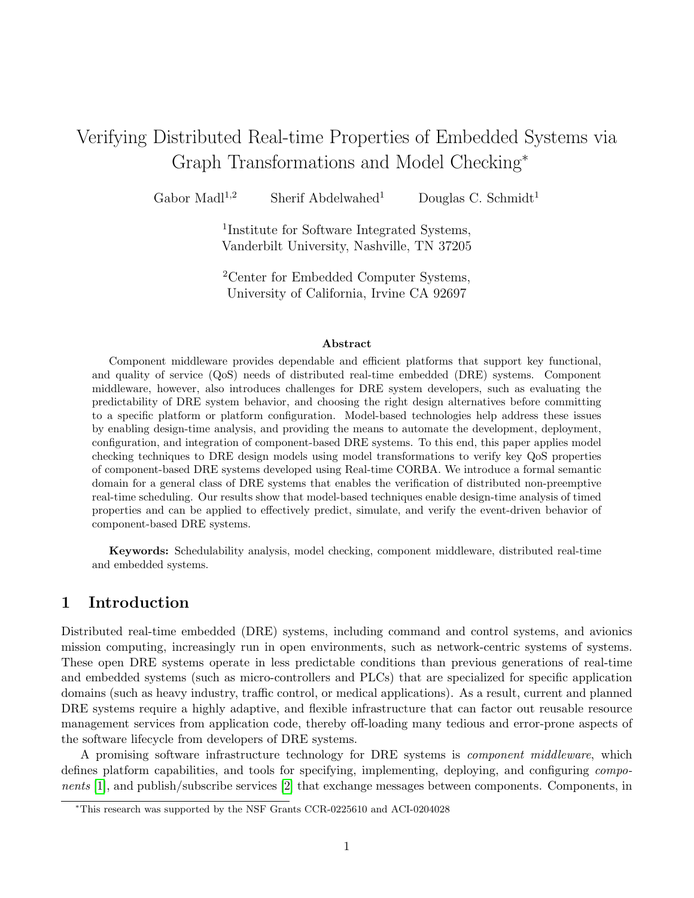# Verifying Distributed Real-time Properties of Embedded Systems via Graph Transformations and Model Checking<sup>∗</sup>

Gabor Madl<sup>1,2</sup> Sherif Abdelwahed<sup>1</sup> Douglas C. Schmidt<sup>1</sup>

1 Institute for Software Integrated Systems, Vanderbilt University, Nashville, TN 37205

<sup>2</sup>Center for Embedded Computer Systems, University of California, Irvine CA 92697

#### Abstract

Component middleware provides dependable and efficient platforms that support key functional, and quality of service (QoS) needs of distributed real-time embedded (DRE) systems. Component middleware, however, also introduces challenges for DRE system developers, such as evaluating the predictability of DRE system behavior, and choosing the right design alternatives before committing to a specific platform or platform configuration. Model-based technologies help address these issues by enabling design-time analysis, and providing the means to automate the development, deployment, configuration, and integration of component-based DRE systems. To this end, this paper applies model checking techniques to DRE design models using model transformations to verify key QoS properties of component-based DRE systems developed using Real-time CORBA. We introduce a formal semantic domain for a general class of DRE systems that enables the verification of distributed non-preemptive real-time scheduling. Our results show that model-based techniques enable design-time analysis of timed properties and can be applied to effectively predict, simulate, and verify the event-driven behavior of component-based DRE systems.

Keywords: Schedulability analysis, model checking, component middleware, distributed real-time and embedded systems.

### 1 Introduction

Distributed real-time embedded (DRE) systems, including command and control systems, and avionics mission computing, increasingly run in open environments, such as network-centric systems of systems. These open DRE systems operate in less predictable conditions than previous generations of real-time and embedded systems (such as micro-controllers and PLCs) that are specialized for specific application domains (such as heavy industry, traffic control, or medical applications). As a result, current and planned DRE systems require a highly adaptive, and flexible infrastructure that can factor out reusable resource management services from application code, thereby off-loading many tedious and error-prone aspects of the software lifecycle from developers of DRE systems.

A promising software infrastructure technology for DRE systems is *component middleware*, which defines platform capabilities, and tools for specifying, implementing, deploying, and configuring *compo*nents [\[1\]](#page-19-0), and publish/subscribe services [\[2\]](#page-19-1) that exchange messages between components. Components, in

<sup>∗</sup>This research was supported by the NSF Grants CCR-0225610 and ACI-0204028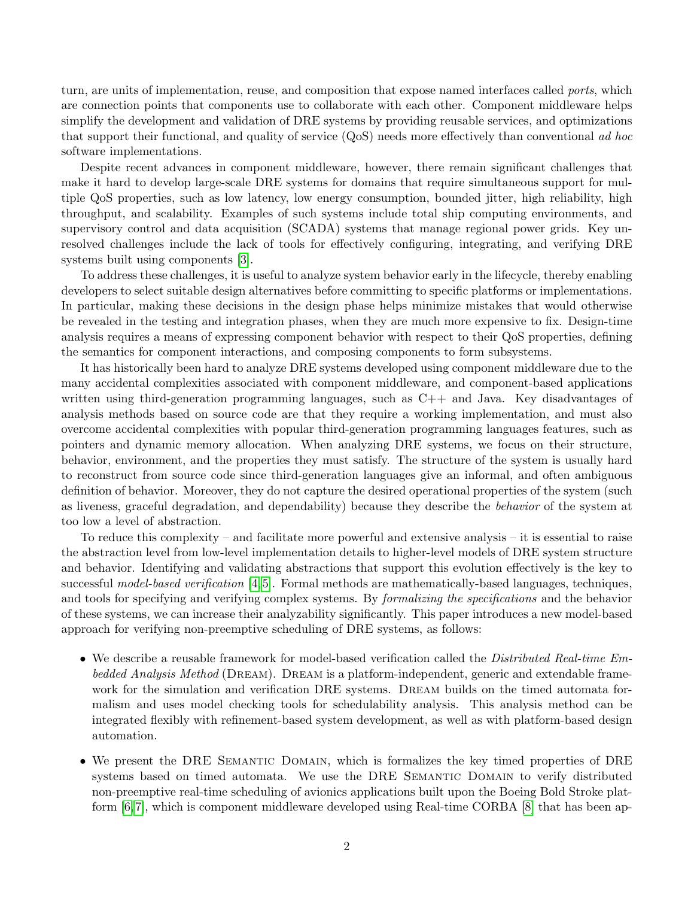turn, are units of implementation, reuse, and composition that expose named interfaces called *ports*, which are connection points that components use to collaborate with each other. Component middleware helps simplify the development and validation of DRE systems by providing reusable services, and optimizations that support their functional, and quality of service (QoS) needs more effectively than conventional ad hoc software implementations.

Despite recent advances in component middleware, however, there remain significant challenges that make it hard to develop large-scale DRE systems for domains that require simultaneous support for multiple QoS properties, such as low latency, low energy consumption, bounded jitter, high reliability, high throughput, and scalability. Examples of such systems include total ship computing environments, and supervisory control and data acquisition (SCADA) systems that manage regional power grids. Key unresolved challenges include the lack of tools for effectively configuring, integrating, and verifying DRE systems built using components [\[3\]](#page-19-2).

To address these challenges, it is useful to analyze system behavior early in the lifecycle, thereby enabling developers to select suitable design alternatives before committing to specific platforms or implementations. In particular, making these decisions in the design phase helps minimize mistakes that would otherwise be revealed in the testing and integration phases, when they are much more expensive to fix. Design-time analysis requires a means of expressing component behavior with respect to their QoS properties, defining the semantics for component interactions, and composing components to form subsystems.

It has historically been hard to analyze DRE systems developed using component middleware due to the many accidental complexities associated with component middleware, and component-based applications written using third-generation programming languages, such as  $C++$  and Java. Key disadvantages of analysis methods based on source code are that they require a working implementation, and must also overcome accidental complexities with popular third-generation programming languages features, such as pointers and dynamic memory allocation. When analyzing DRE systems, we focus on their structure, behavior, environment, and the properties they must satisfy. The structure of the system is usually hard to reconstruct from source code since third-generation languages give an informal, and often ambiguous definition of behavior. Moreover, they do not capture the desired operational properties of the system (such as liveness, graceful degradation, and dependability) because they describe the behavior of the system at too low a level of abstraction.

To reduce this complexity – and facilitate more powerful and extensive analysis – it is essential to raise the abstraction level from low-level implementation details to higher-level models of DRE system structure and behavior. Identifying and validating abstractions that support this evolution effectively is the key to successful model-based verification [\[4,](#page-19-3)[5\]](#page-19-4). Formal methods are mathematically-based languages, techniques, and tools for specifying and verifying complex systems. By formalizing the specifications and the behavior of these systems, we can increase their analyzability significantly. This paper introduces a new model-based approach for verifying non-preemptive scheduling of DRE systems, as follows:

- We describe a reusable framework for model-based verification called the *Distributed Real-time Em*bedded Analysis Method (DREAM). DREAM is a platform-independent, generic and extendable framework for the simulation and verification DRE systems. DREAM builds on the timed automata formalism and uses model checking tools for schedulability analysis. This analysis method can be integrated flexibly with refinement-based system development, as well as with platform-based design automation.
- We present the DRE SEMANTIC DOMAIN, which is formalizes the key timed properties of DRE systems based on timed automata. We use the DRE SEMANTIC DOMAIN to verify distributed non-preemptive real-time scheduling of avionics applications built upon the Boeing Bold Stroke platform [\[6,](#page-19-5) [7\]](#page-19-6), which is component middleware developed using Real-time CORBA [\[8\]](#page-19-7) that has been ap-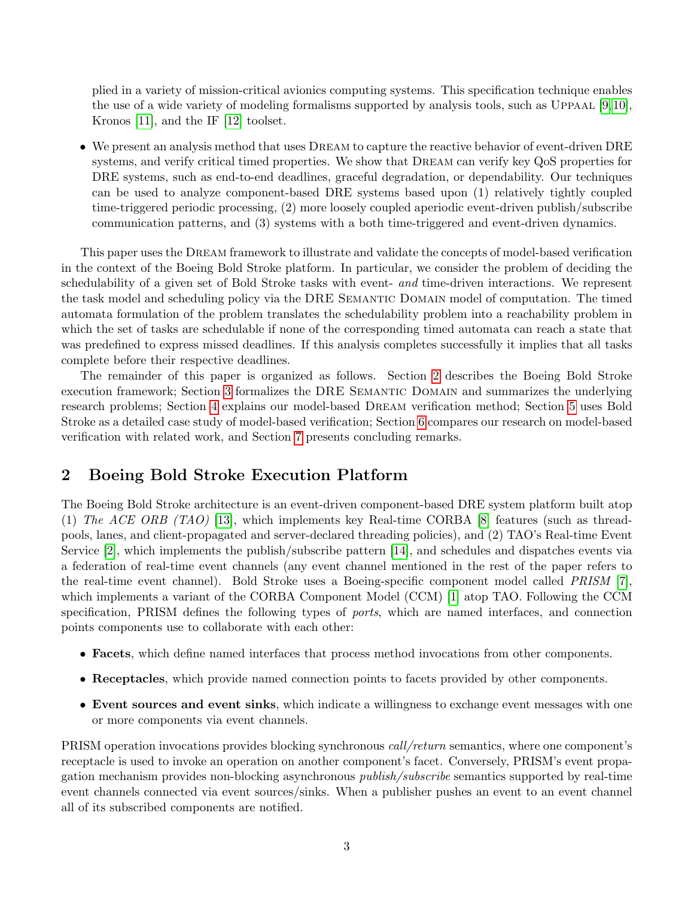plied in a variety of mission-critical avionics computing systems. This specification technique enables the use of a wide variety of modeling formalisms supported by analysis tools, such as  $UPPAAL [9,10]$  $UPPAAL [9,10]$  $UPPAAL [9,10]$ , Kronos [\[11\]](#page-19-10), and the IF [\[12\]](#page-19-11) toolset.

• We present an analysis method that uses DREAM to capture the reactive behavior of event-driven DRE systems, and verify critical timed properties. We show that DREAM can verify key QoS properties for DRE systems, such as end-to-end deadlines, graceful degradation, or dependability. Our techniques can be used to analyze component-based DRE systems based upon (1) relatively tightly coupled time-triggered periodic processing, (2) more loosely coupled aperiodic event-driven publish/subscribe communication patterns, and (3) systems with a both time-triggered and event-driven dynamics.

This paper uses the DREAM framework to illustrate and validate the concepts of model-based verification in the context of the Boeing Bold Stroke platform. In particular, we consider the problem of deciding the schedulability of a given set of Bold Stroke tasks with event- and time-driven interactions. We represent the task model and scheduling policy via the DRE Semantic Domain model of computation. The timed automata formulation of the problem translates the schedulability problem into a reachability problem in which the set of tasks are schedulable if none of the corresponding timed automata can reach a state that was predefined to express missed deadlines. If this analysis completes successfully it implies that all tasks complete before their respective deadlines.

The remainder of this paper is organized as follows. Section [2](#page-2-0) describes the Boeing Bold Stroke execution framework; Section [3](#page-4-0) formalizes the DRE Semantic Domain and summarizes the underlying research problems; Section [4](#page-8-0) explains our model-based Dream verification method; Section [5](#page-12-0) uses Bold Stroke as a detailed case study of model-based verification; Section [6](#page-16-0) compares our research on model-based verification with related work, and Section [7](#page-18-0) presents concluding remarks.

# <span id="page-2-0"></span>2 Boeing Bold Stroke Execution Platform

The Boeing Bold Stroke architecture is an event-driven component-based DRE system platform built atop (1) The ACE ORB (TAO) [\[13\]](#page-19-12), which implements key Real-time CORBA [\[8\]](#page-19-7) features (such as threadpools, lanes, and client-propagated and server-declared threading policies), and (2) TAO's Real-time Event Service [\[2\]](#page-19-1), which implements the publish/subscribe pattern [\[14\]](#page-20-0), and schedules and dispatches events via a federation of real-time event channels (any event channel mentioned in the rest of the paper refers to the real-time event channel). Bold Stroke uses a Boeing-specific component model called PRISM [\[7\]](#page-19-6), which implements a variant of the CORBA Component Model (CCM) [\[1\]](#page-19-0) atop TAO. Following the CCM specification, PRISM defines the following types of *ports*, which are named interfaces, and connection points components use to collaborate with each other:

- Facets, which define named interfaces that process method invocations from other components.
- Receptacles, which provide named connection points to facets provided by other components.
- Event sources and event sinks, which indicate a willingness to exchange event messages with one or more components via event channels.

PRISM operation invocations provides blocking synchronous call/return semantics, where one component's receptacle is used to invoke an operation on another component's facet. Conversely, PRISM's event propagation mechanism provides non-blocking asynchronous publish/subscribe semantics supported by real-time event channels connected via event sources/sinks. When a publisher pushes an event to an event channel all of its subscribed components are notified.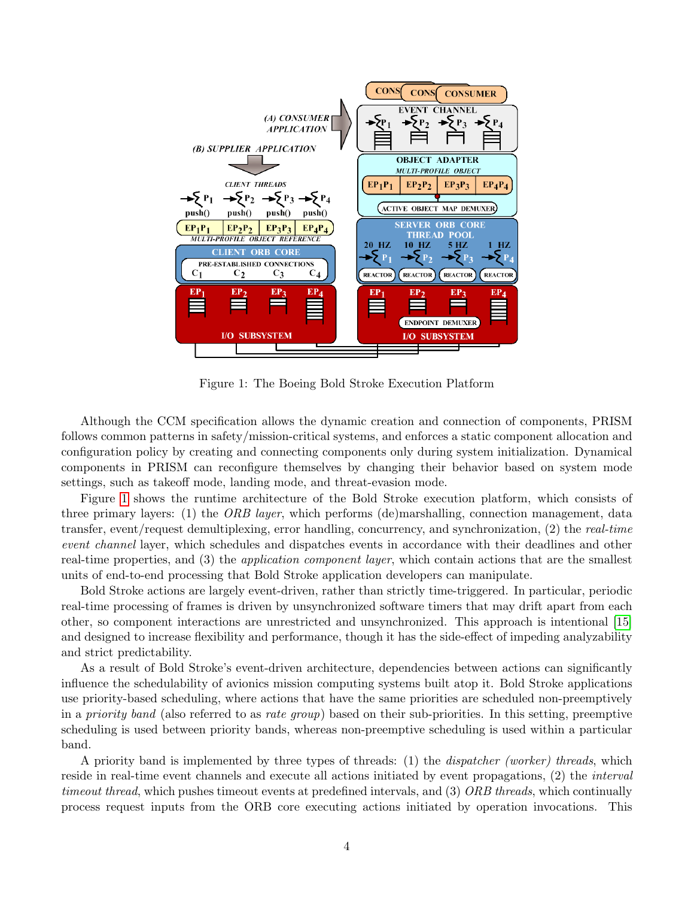

Figure 1: The Boeing Bold Stroke Execution Platform

<span id="page-3-0"></span>Although the CCM specification allows the dynamic creation and connection of components, PRISM follows common patterns in safety/mission-critical systems, and enforces a static component allocation and configuration policy by creating and connecting components only during system initialization. Dynamical components in PRISM can reconfigure themselves by changing their behavior based on system mode settings, such as takeoff mode, landing mode, and threat-evasion mode.

Figure [1](#page-3-0) shows the runtime architecture of the Bold Stroke execution platform, which consists of three primary layers: (1) the ORB layer, which performs (de)marshalling, connection management, data transfer, event/request demultiplexing, error handling, concurrency, and synchronization, (2) the real-time event channel layer, which schedules and dispatches events in accordance with their deadlines and other real-time properties, and (3) the application component layer, which contain actions that are the smallest units of end-to-end processing that Bold Stroke application developers can manipulate.

Bold Stroke actions are largely event-driven, rather than strictly time-triggered. In particular, periodic real-time processing of frames is driven by unsynchronized software timers that may drift apart from each other, so component interactions are unrestricted and unsynchronized. This approach is intentional [\[15\]](#page-20-1) and designed to increase flexibility and performance, though it has the side-effect of impeding analyzability and strict predictability.

As a result of Bold Stroke's event-driven architecture, dependencies between actions can significantly influence the schedulability of avionics mission computing systems built atop it. Bold Stroke applications use priority-based scheduling, where actions that have the same priorities are scheduled non-preemptively in a priority band (also referred to as rate group) based on their sub-priorities. In this setting, preemptive scheduling is used between priority bands, whereas non-preemptive scheduling is used within a particular band.

A priority band is implemented by three types of threads: (1) the *dispatcher (worker) threads*, which reside in real-time event channels and execute all actions initiated by event propagations, (2) the interval timeout thread, which pushes timeout events at predefined intervals, and (3) ORB threads, which continually process request inputs from the ORB core executing actions initiated by operation invocations. This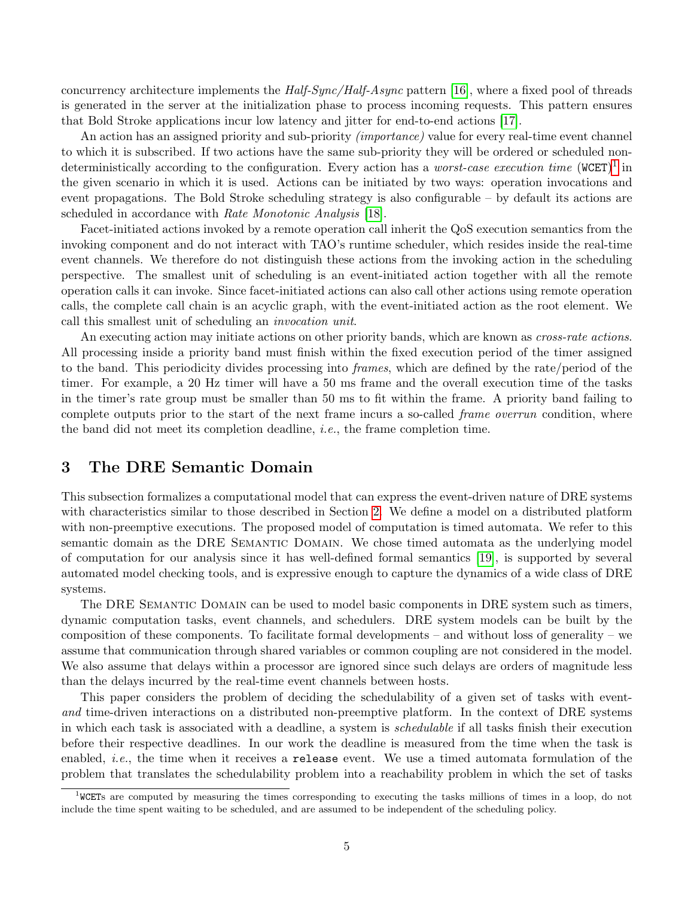concurrency architecture implements the  $Half-Sync/Half-Async$  pattern [\[16\]](#page-20-2), where a fixed pool of threads is generated in the server at the initialization phase to process incoming requests. This pattern ensures that Bold Stroke applications incur low latency and jitter for end-to-end actions [\[17\]](#page-20-3).

An action has an assigned priority and sub-priority *(importance)* value for every real-time event channel to which it is subscribed. If two actions have the same sub-priority they will be ordered or scheduled nondeterministically according to the configuration. Every action has a *worst-case execution time* (WCET)<sup>[1](#page-4-1)</sup> in the given scenario in which it is used. Actions can be initiated by two ways: operation invocations and event propagations. The Bold Stroke scheduling strategy is also configurable – by default its actions are scheduled in accordance with Rate Monotonic Analysis [\[18\]](#page-20-4).

Facet-initiated actions invoked by a remote operation call inherit the QoS execution semantics from the invoking component and do not interact with TAO's runtime scheduler, which resides inside the real-time event channels. We therefore do not distinguish these actions from the invoking action in the scheduling perspective. The smallest unit of scheduling is an event-initiated action together with all the remote operation calls it can invoke. Since facet-initiated actions can also call other actions using remote operation calls, the complete call chain is an acyclic graph, with the event-initiated action as the root element. We call this smallest unit of scheduling an invocation unit.

An executing action may initiate actions on other priority bands, which are known as *cross-rate actions*. All processing inside a priority band must finish within the fixed execution period of the timer assigned to the band. This periodicity divides processing into frames, which are defined by the rate/period of the timer. For example, a 20 Hz timer will have a 50 ms frame and the overall execution time of the tasks in the timer's rate group must be smaller than 50 ms to fit within the frame. A priority band failing to complete outputs prior to the start of the next frame incurs a so-called *frame overrun* condition, where the band did not meet its completion deadline, i.e., the frame completion time.

# <span id="page-4-0"></span>3 The DRE Semantic Domain

This subsection formalizes a computational model that can express the event-driven nature of DRE systems with characteristics similar to those described in Section [2.](#page-2-0) We define a model on a distributed platform with non-preemptive executions. The proposed model of computation is timed automata. We refer to this semantic domain as the DRE Semantic Domain. We chose timed automata as the underlying model of computation for our analysis since it has well-defined formal semantics [\[19\]](#page-20-5), is supported by several automated model checking tools, and is expressive enough to capture the dynamics of a wide class of DRE systems.

The DRE Semantic Domain can be used to model basic components in DRE system such as timers, dynamic computation tasks, event channels, and schedulers. DRE system models can be built by the composition of these components. To facilitate formal developments – and without loss of generality – we assume that communication through shared variables or common coupling are not considered in the model. We also assume that delays within a processor are ignored since such delays are orders of magnitude less than the delays incurred by the real-time event channels between hosts.

This paper considers the problem of deciding the schedulability of a given set of tasks with eventand time-driven interactions on a distributed non-preemptive platform. In the context of DRE systems in which each task is associated with a deadline, a system is *schedulable* if all tasks finish their execution before their respective deadlines. In our work the deadline is measured from the time when the task is enabled, *i.e.*, the time when it receives a **release** event. We use a timed automata formulation of the problem that translates the schedulability problem into a reachability problem in which the set of tasks

<span id="page-4-1"></span><sup>&</sup>lt;sup>1</sup>WCETs are computed by measuring the times corresponding to executing the tasks millions of times in a loop, do not include the time spent waiting to be scheduled, and are assumed to be independent of the scheduling policy.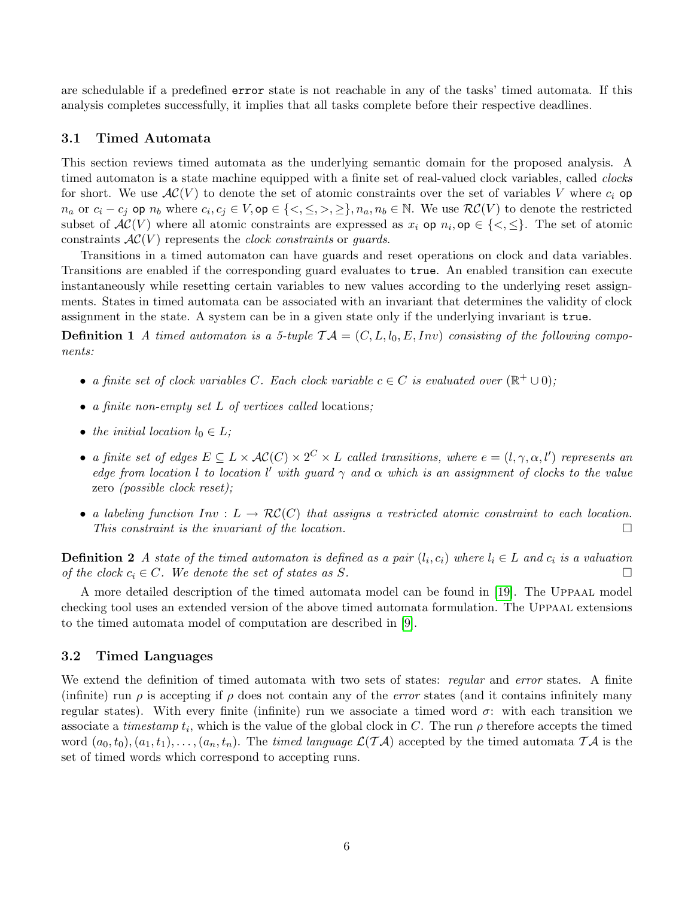are schedulable if a predefined error state is not reachable in any of the tasks' timed automata. If this analysis completes successfully, it implies that all tasks complete before their respective deadlines.

### 3.1 Timed Automata

This section reviews timed automata as the underlying semantic domain for the proposed analysis. A timed automaton is a state machine equipped with a finite set of real-valued clock variables, called *clocks* for short. We use  $AC(V)$  to denote the set of atomic constraints over the set of variables V where  $c_i$  op  $n_a$  or  $c_i - c_j$  op  $n_b$  where  $c_i, c_j \in V$ , op  $\in \{ \leq, \leq, \geq, \geq \}, n_a, n_b \in \mathbb{N}$ . We use  $\mathcal{RC}(V)$  to denote the restricted subset of  $AC(V)$  where all atomic constraints are expressed as  $x_i$  op  $n_i$ , op  $\in \{<,\leq\}$ . The set of atomic constraints  $AC(V)$  represents the *clock constraints* or *guards*.

Transitions in a timed automaton can have guards and reset operations on clock and data variables. Transitions are enabled if the corresponding guard evaluates to true. An enabled transition can execute instantaneously while resetting certain variables to new values according to the underlying reset assignments. States in timed automata can be associated with an invariant that determines the validity of clock assignment in the state. A system can be in a given state only if the underlying invariant is true.

**Definition 1** A timed automaton is a 5-tuple  $TA = (C, L, l_0, E, Inv)$  consisting of the following components:

- a finite set of clock variables C. Each clock variable  $c \in C$  is evaluated over  $(\mathbb{R}^+ \cup 0);$
- a finite non-empty set L of vertices called locations;
- the initial location  $l_0 \in L$ ;
- a finite set of edges  $E \subseteq L \times \mathcal{AC}(C) \times 2^C \times L$  called transitions, where  $e = (l, \gamma, \alpha, l')$  represents an edge from location l to location l' with guard  $\gamma$  and  $\alpha$  which is an assignment of clocks to the value zero (possible clock reset);
- a labeling function  $Inv: L \to \mathcal{RC}(C)$  that assigns a restricted atomic constraint to each location. This constraint is the invariant of the location.  $\Box$

**Definition 2** A state of the timed automaton is defined as a pair  $(l_i, c_i)$  where  $l_i \in L$  and  $c_i$  is a valuation of the clock  $c_i \in C$ . We denote the set of states as S.

A more detailed description of the timed automata model can be found in [\[19\]](#page-20-5). The Uppaal model checking tool uses an extended version of the above timed automata formulation. The Uppaal extensions to the timed automata model of computation are described in [\[9\]](#page-19-8).

#### <span id="page-5-0"></span>3.2 Timed Languages

We extend the definition of timed automata with two sets of states: regular and error states. A finite (infinite) run  $\rho$  is accepting if  $\rho$  does not contain any of the *error* states (and it contains infinitely many regular states). With every finite (infinite) run we associate a timed word  $\sigma$ : with each transition we associate a *timestamp*  $t_i$ , which is the value of the global clock in C. The run  $\rho$  therefore accepts the timed word  $(a_0, t_0), (a_1, t_1), \ldots, (a_n, t_n)$ . The timed language  $\mathcal{L}(\mathcal{TA})$  accepted by the timed automata  $\mathcal{TA}$  is the set of timed words which correspond to accepting runs.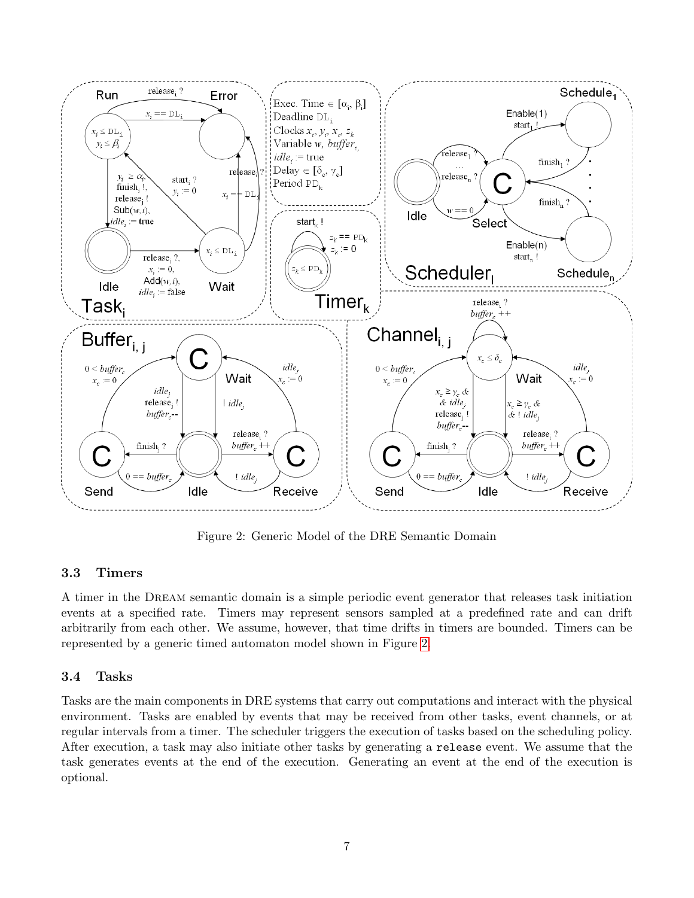

Figure 2: Generic Model of the DRE Semantic Domain

### <span id="page-6-0"></span>3.3 Timers

A timer in the Dream semantic domain is a simple periodic event generator that releases task initiation events at a specified rate. Timers may represent sensors sampled at a predefined rate and can drift arbitrarily from each other. We assume, however, that time drifts in timers are bounded. Timers can be represented by a generic timed automaton model shown in Figure [2.](#page-6-0)

### 3.4 Tasks

Tasks are the main components in DRE systems that carry out computations and interact with the physical environment. Tasks are enabled by events that may be received from other tasks, event channels, or at regular intervals from a timer. The scheduler triggers the execution of tasks based on the scheduling policy. After execution, a task may also initiate other tasks by generating a release event. We assume that the task generates events at the end of the execution. Generating an event at the end of the execution is optional.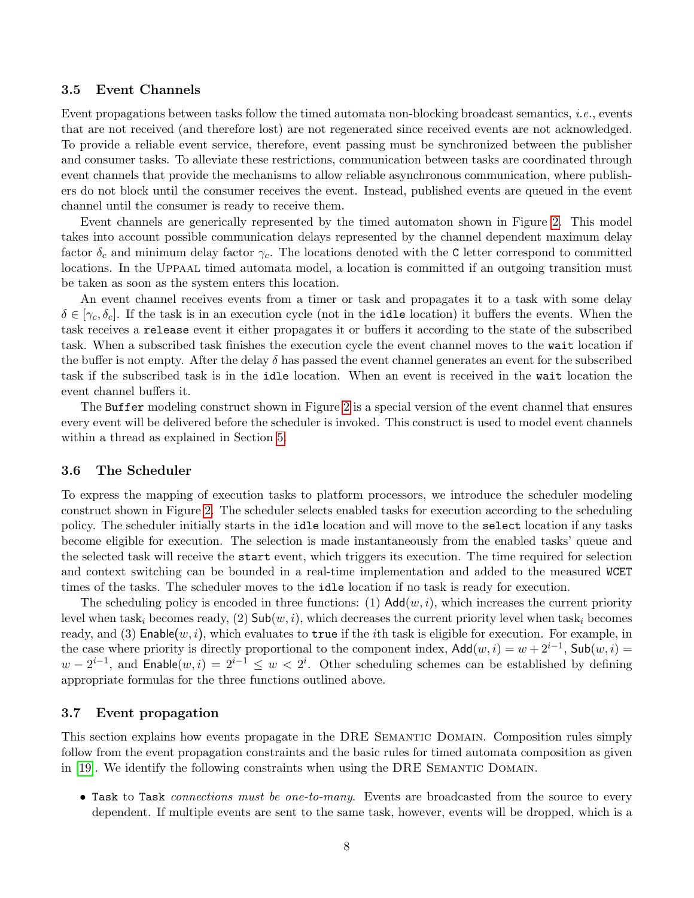### 3.5 Event Channels

Event propagations between tasks follow the timed automata non-blocking broadcast semantics, i.e., events that are not received (and therefore lost) are not regenerated since received events are not acknowledged. To provide a reliable event service, therefore, event passing must be synchronized between the publisher and consumer tasks. To alleviate these restrictions, communication between tasks are coordinated through event channels that provide the mechanisms to allow reliable asynchronous communication, where publishers do not block until the consumer receives the event. Instead, published events are queued in the event channel until the consumer is ready to receive them.

Event channels are generically represented by the timed automaton shown in Figure [2.](#page-6-0) This model takes into account possible communication delays represented by the channel dependent maximum delay factor  $\delta_c$  and minimum delay factor  $\gamma_c$ . The locations denoted with the C letter correspond to committed locations. In the UPPAAL timed automata model, a location is committed if an outgoing transition must be taken as soon as the system enters this location.

An event channel receives events from a timer or task and propagates it to a task with some delay  $\delta \in [\gamma_c, \delta_c]$ . If the task is in an execution cycle (not in the idle location) it buffers the events. When the task receives a release event it either propagates it or buffers it according to the state of the subscribed task. When a subscribed task finishes the execution cycle the event channel moves to the wait location if the buffer is not empty. After the delay  $\delta$  has passed the event channel generates an event for the subscribed task if the subscribed task is in the idle location. When an event is received in the wait location the event channel buffers it.

The Buffer modeling construct shown in Figure [2](#page-6-0) is a special version of the event channel that ensures every event will be delivered before the scheduler is invoked. This construct is used to model event channels within a thread as explained in Section [5.](#page-12-0)

#### 3.6 The Scheduler

To express the mapping of execution tasks to platform processors, we introduce the scheduler modeling construct shown in Figure [2.](#page-6-0) The scheduler selects enabled tasks for execution according to the scheduling policy. The scheduler initially starts in the idle location and will move to the select location if any tasks become eligible for execution. The selection is made instantaneously from the enabled tasks' queue and the selected task will receive the start event, which triggers its execution. The time required for selection and context switching can be bounded in a real-time implementation and added to the measured WCET times of the tasks. The scheduler moves to the idle location if no task is ready for execution.

The scheduling policy is encoded in three functions: (1)  $Add(w, i)$ , which increases the current priority level when task<sub>i</sub> becomes ready, (2)  $\textsf{Sub}(w, i)$ , which decreases the current priority level when task<sub>i</sub> becomes ready, and (3)  $\mathsf{Enable}(w, i)$ , which evaluates to true if the *i*th task is eligible for execution. For example, in the case where priority is directly proportional to the component index,  $\text{Add}(w, i) = w + 2^{i-1}$ ,  $\text{Sub}(w, i) =$  $w - 2^{i-1}$ , and Enable $(w, i) = 2^{i-1} \leq w < 2^i$ . Other scheduling schemes can be established by defining appropriate formulas for the three functions outlined above.

#### 3.7 Event propagation

This section explains how events propagate in the DRE Semantic Domain. Composition rules simply follow from the event propagation constraints and the basic rules for timed automata composition as given in [\[19\]](#page-20-5). We identify the following constraints when using the DRE Semantic Domain.

• Task to Task connections must be one-to-many. Events are broadcasted from the source to every dependent. If multiple events are sent to the same task, however, events will be dropped, which is a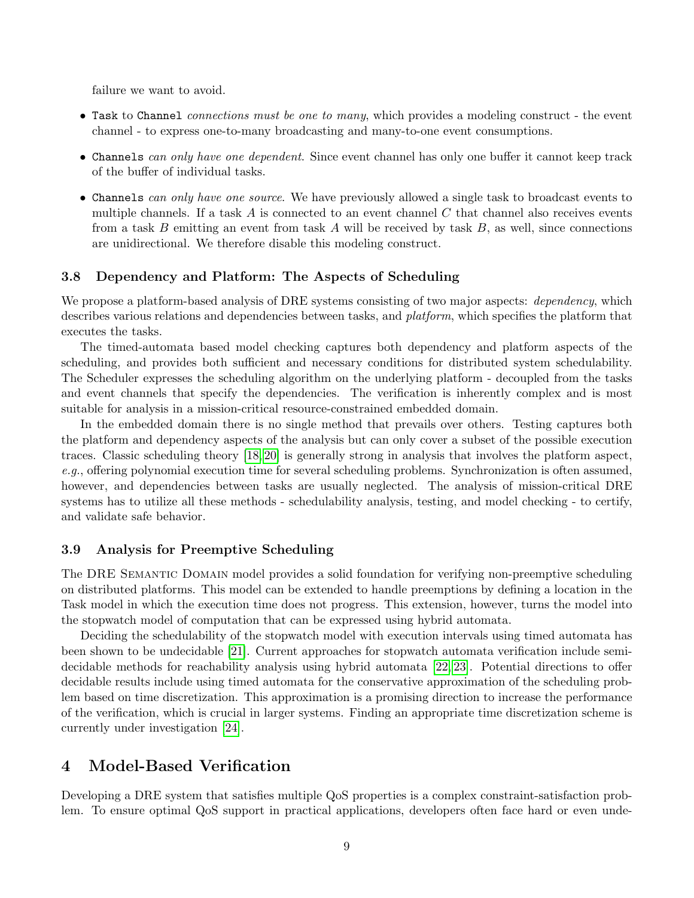failure we want to avoid.

- Task to Channel *connections must be one to many*, which provides a modeling construct the event channel - to express one-to-many broadcasting and many-to-one event consumptions.
- Channels can only have one dependent. Since event channel has only one buffer it cannot keep track of the buffer of individual tasks.
- Channels can only have one source. We have previously allowed a single task to broadcast events to multiple channels. If a task  $A$  is connected to an event channel  $C$  that channel also receives events from a task  $B$  emitting an event from task  $A$  will be received by task  $B$ , as well, since connections are unidirectional. We therefore disable this modeling construct.

#### 3.8 Dependency and Platform: The Aspects of Scheduling

We propose a platform-based analysis of DRE systems consisting of two major aspects: *dependency*, which describes various relations and dependencies between tasks, and *platform*, which specifies the platform that executes the tasks.

The timed-automata based model checking captures both dependency and platform aspects of the scheduling, and provides both sufficient and necessary conditions for distributed system schedulability. The Scheduler expresses the scheduling algorithm on the underlying platform - decoupled from the tasks and event channels that specify the dependencies. The verification is inherently complex and is most suitable for analysis in a mission-critical resource-constrained embedded domain.

In the embedded domain there is no single method that prevails over others. Testing captures both the platform and dependency aspects of the analysis but can only cover a subset of the possible execution traces. Classic scheduling theory [\[18,](#page-20-4) [20\]](#page-20-6) is generally strong in analysis that involves the platform aspect, e.g., offering polynomial execution time for several scheduling problems. Synchronization is often assumed, however, and dependencies between tasks are usually neglected. The analysis of mission-critical DRE systems has to utilize all these methods - schedulability analysis, testing, and model checking - to certify, and validate safe behavior.

### 3.9 Analysis for Preemptive Scheduling

The DRE Semantic Domain model provides a solid foundation for verifying non-preemptive scheduling on distributed platforms. This model can be extended to handle preemptions by defining a location in the Task model in which the execution time does not progress. This extension, however, turns the model into the stopwatch model of computation that can be expressed using hybrid automata.

Deciding the schedulability of the stopwatch model with execution intervals using timed automata has been shown to be undecidable [\[21\]](#page-20-7). Current approaches for stopwatch automata verification include semidecidable methods for reachability analysis using hybrid automata [\[22,](#page-20-8) [23\]](#page-20-9). Potential directions to offer decidable results include using timed automata for the conservative approximation of the scheduling problem based on time discretization. This approximation is a promising direction to increase the performance of the verification, which is crucial in larger systems. Finding an appropriate time discretization scheme is currently under investigation [\[24\]](#page-20-10).

### <span id="page-8-0"></span>4 Model-Based Verification

Developing a DRE system that satisfies multiple QoS properties is a complex constraint-satisfaction problem. To ensure optimal QoS support in practical applications, developers often face hard or even unde-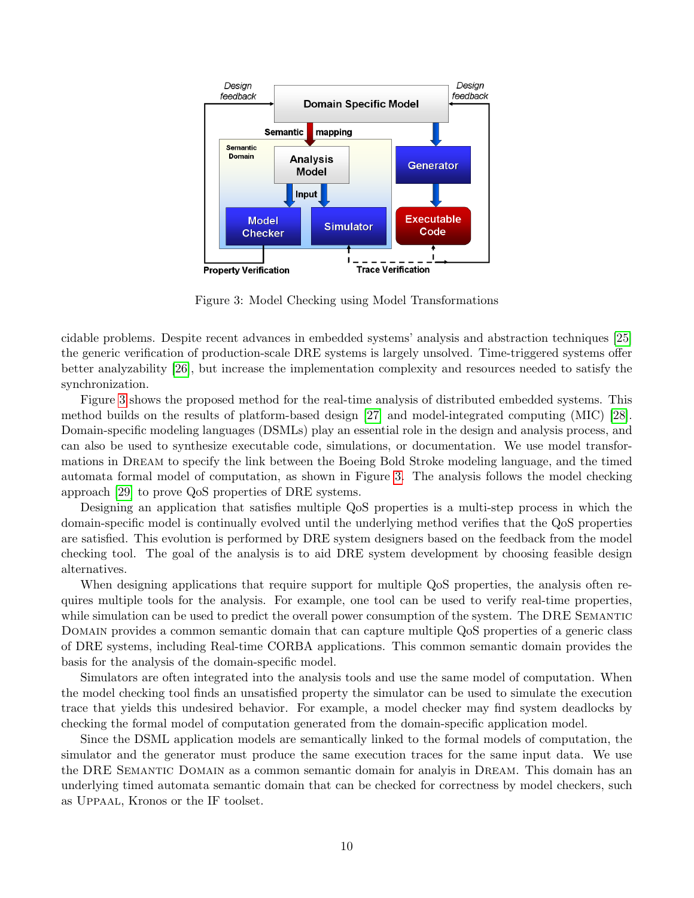

Figure 3: Model Checking using Model Transformations

<span id="page-9-0"></span>cidable problems. Despite recent advances in embedded systems' analysis and abstraction techniques [\[25\]](#page-20-11) the generic verification of production-scale DRE systems is largely unsolved. Time-triggered systems offer better analyzability [\[26\]](#page-20-12), but increase the implementation complexity and resources needed to satisfy the synchronization.

Figure [3](#page-9-0) shows the proposed method for the real-time analysis of distributed embedded systems. This method builds on the results of platform-based design [\[27\]](#page-20-13) and model-integrated computing (MIC) [\[28\]](#page-20-14). Domain-specific modeling languages (DSMLs) play an essential role in the design and analysis process, and can also be used to synthesize executable code, simulations, or documentation. We use model transformations in DREAM to specify the link between the Boeing Bold Stroke modeling language, and the timed automata formal model of computation, as shown in Figure [3.](#page-9-0) The analysis follows the model checking approach [\[29\]](#page-20-15) to prove QoS properties of DRE systems.

Designing an application that satisfies multiple QoS properties is a multi-step process in which the domain-specific model is continually evolved until the underlying method verifies that the QoS properties are satisfied. This evolution is performed by DRE system designers based on the feedback from the model checking tool. The goal of the analysis is to aid DRE system development by choosing feasible design alternatives.

When designing applications that require support for multiple QoS properties, the analysis often requires multiple tools for the analysis. For example, one tool can be used to verify real-time properties, while simulation can be used to predict the overall power consumption of the system. The DRE SEMANTIC DOMAIN provides a common semantic domain that can capture multiple QoS properties of a generic class of DRE systems, including Real-time CORBA applications. This common semantic domain provides the basis for the analysis of the domain-specific model.

Simulators are often integrated into the analysis tools and use the same model of computation. When the model checking tool finds an unsatisfied property the simulator can be used to simulate the execution trace that yields this undesired behavior. For example, a model checker may find system deadlocks by checking the formal model of computation generated from the domain-specific application model.

Since the DSML application models are semantically linked to the formal models of computation, the simulator and the generator must produce the same execution traces for the same input data. We use the DRE Semantic Domain as a common semantic domain for analyis in Dream. This domain has an underlying timed automata semantic domain that can be checked for correctness by model checkers, such as Uppaal, Kronos or the IF toolset.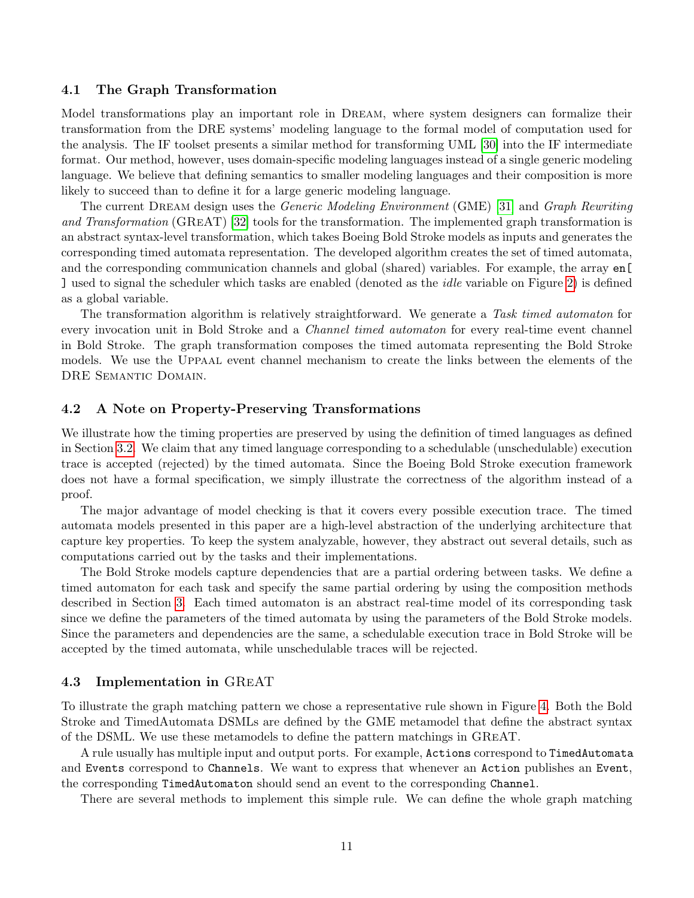### 4.1 The Graph Transformation

Model transformations play an important role in DREAM, where system designers can formalize their transformation from the DRE systems' modeling language to the formal model of computation used for the analysis. The IF toolset presents a similar method for transforming UML [\[30\]](#page-20-16) into the IF intermediate format. Our method, however, uses domain-specific modeling languages instead of a single generic modeling language. We believe that defining semantics to smaller modeling languages and their composition is more likely to succeed than to define it for a large generic modeling language.

The current DREAM design uses the *Generic Modeling Environment* (GME) [\[31\]](#page-21-0) and *Graph Rewriting* and Transformation (GREAT) [\[32\]](#page-21-1) tools for the transformation. The implemented graph transformation is an abstract syntax-level transformation, which takes Boeing Bold Stroke models as inputs and generates the corresponding timed automata representation. The developed algorithm creates the set of timed automata, and the corresponding communication channels and global (shared) variables. For example, the array en [ ] used to signal the scheduler which tasks are enabled (denoted as the idle variable on Figure [2\)](#page-6-0) is defined as a global variable.

The transformation algorithm is relatively straightforward. We generate a Task timed automaton for every invocation unit in Bold Stroke and a *Channel timed automaton* for every real-time event channel in Bold Stroke. The graph transformation composes the timed automata representing the Bold Stroke models. We use the Uppaal event channel mechanism to create the links between the elements of the DRE Semantic Domain.

### 4.2 A Note on Property-Preserving Transformations

We illustrate how the timing properties are preserved by using the definition of timed languages as defined in Section [3.2.](#page-5-0) We claim that any timed language corresponding to a schedulable (unschedulable) execution trace is accepted (rejected) by the timed automata. Since the Boeing Bold Stroke execution framework does not have a formal specification, we simply illustrate the correctness of the algorithm instead of a proof.

The major advantage of model checking is that it covers every possible execution trace. The timed automata models presented in this paper are a high-level abstraction of the underlying architecture that capture key properties. To keep the system analyzable, however, they abstract out several details, such as computations carried out by the tasks and their implementations.

The Bold Stroke models capture dependencies that are a partial ordering between tasks. We define a timed automaton for each task and specify the same partial ordering by using the composition methods described in Section [3.](#page-4-0) Each timed automaton is an abstract real-time model of its corresponding task since we define the parameters of the timed automata by using the parameters of the Bold Stroke models. Since the parameters and dependencies are the same, a schedulable execution trace in Bold Stroke will be accepted by the timed automata, while unschedulable traces will be rejected.

### 4.3 Implementation in GReAT

To illustrate the graph matching pattern we chose a representative rule shown in Figure [4.](#page-11-0) Both the Bold Stroke and TimedAutomata DSMLs are defined by the GME metamodel that define the abstract syntax of the DSML. We use these metamodels to define the pattern matchings in GReAT.

A rule usually has multiple input and output ports. For example, Actions correspond to TimedAutomata and Events correspond to Channels. We want to express that whenever an Action publishes an Event, the corresponding TimedAutomaton should send an event to the corresponding Channel.

There are several methods to implement this simple rule. We can define the whole graph matching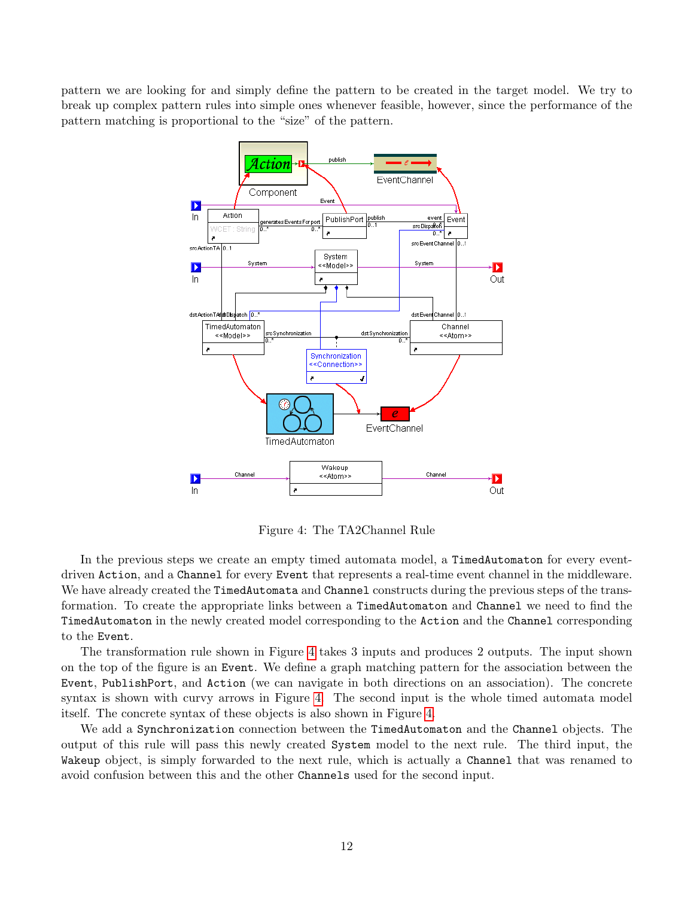pattern we are looking for and simply define the pattern to be created in the target model. We try to break up complex pattern rules into simple ones whenever feasible, however, since the performance of the pattern matching is proportional to the "size" of the pattern.



Figure 4: The TA2Channel Rule

<span id="page-11-0"></span>In the previous steps we create an empty timed automata model, a TimedAutomaton for every eventdriven Action, and a Channel for every Event that represents a real-time event channel in the middleware. We have already created the TimedAutomata and Channel constructs during the previous steps of the transformation. To create the appropriate links between a TimedAutomaton and Channel we need to find the TimedAutomaton in the newly created model corresponding to the Action and the Channel corresponding to the Event.

The transformation rule shown in Figure [4](#page-11-0) takes 3 inputs and produces 2 outputs. The input shown on the top of the figure is an Event. We define a graph matching pattern for the association between the Event, PublishPort, and Action (we can navigate in both directions on an association). The concrete syntax is shown with curvy arrows in Figure [4.](#page-11-0) The second input is the whole timed automata model itself. The concrete syntax of these objects is also shown in Figure [4.](#page-11-0)

We add a Synchronization connection between the TimedAutomaton and the Channel objects. The output of this rule will pass this newly created System model to the next rule. The third input, the Wakeup object, is simply forwarded to the next rule, which is actually a Channel that was renamed to avoid confusion between this and the other Channels used for the second input.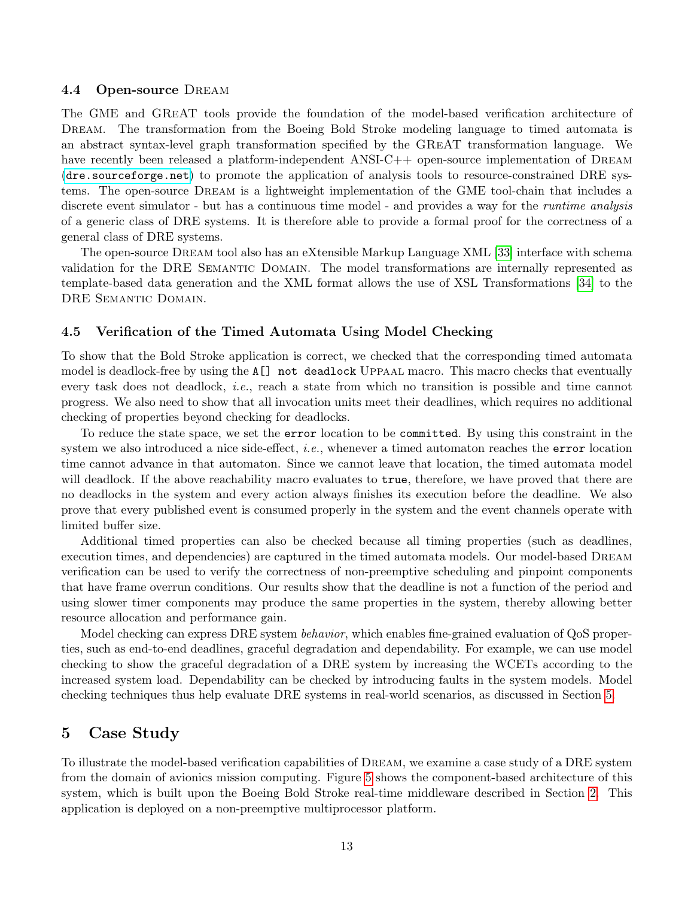### 4.4 Open-source Dream

The GME and GReAT tools provide the foundation of the model-based verification architecture of DREAM. The transformation from the Boeing Bold Stroke modeling language to timed automata is an abstract syntax-level graph transformation specified by the GReAT transformation language. We have recently been released a platform-independent ANSI-C++ open-source implementation of DREAM (<dre.sourceforge.net>) to promote the application of analysis tools to resource-constrained DRE systems. The open-source Dream is a lightweight implementation of the GME tool-chain that includes a discrete event simulator - but has a continuous time model - and provides a way for the *runtime analysis* of a generic class of DRE systems. It is therefore able to provide a formal proof for the correctness of a general class of DRE systems.

The open-source Dream tool also has an eXtensible Markup Language XML [\[33\]](#page-21-2) interface with schema validation for the DRE Semantic Domain. The model transformations are internally represented as template-based data generation and the XML format allows the use of XSL Transformations [\[34\]](#page-21-3) to the DRE Semantic Domain.

### 4.5 Verification of the Timed Automata Using Model Checking

To show that the Bold Stroke application is correct, we checked that the corresponding timed automata model is deadlock-free by using the A[] not deadlock UPPAAL macro. This macro checks that eventually every task does not deadlock, i.e., reach a state from which no transition is possible and time cannot progress. We also need to show that all invocation units meet their deadlines, which requires no additional checking of properties beyond checking for deadlocks.

To reduce the state space, we set the error location to be committed. By using this constraint in the system we also introduced a nice side-effect, *i.e.*, whenever a timed automaton reaches the error location time cannot advance in that automaton. Since we cannot leave that location, the timed automata model will deadlock. If the above reachability macro evaluates to true, therefore, we have proved that there are no deadlocks in the system and every action always finishes its execution before the deadline. We also prove that every published event is consumed properly in the system and the event channels operate with limited buffer size.

Additional timed properties can also be checked because all timing properties (such as deadlines, execution times, and dependencies) are captured in the timed automata models. Our model-based DREAM verification can be used to verify the correctness of non-preemptive scheduling and pinpoint components that have frame overrun conditions. Our results show that the deadline is not a function of the period and using slower timer components may produce the same properties in the system, thereby allowing better resource allocation and performance gain.

Model checking can express DRE system *behavior*, which enables fine-grained evaluation of QoS properties, such as end-to-end deadlines, graceful degradation and dependability. For example, we can use model checking to show the graceful degradation of a DRE system by increasing the WCETs according to the increased system load. Dependability can be checked by introducing faults in the system models. Model checking techniques thus help evaluate DRE systems in real-world scenarios, as discussed in Section [5.](#page-12-0)

### <span id="page-12-0"></span>5 Case Study

To illustrate the model-based verification capabilities of Dream, we examine a case study of a DRE system from the domain of avionics mission computing. Figure [5](#page-13-0) shows the component-based architecture of this system, which is built upon the Boeing Bold Stroke real-time middleware described in Section [2.](#page-2-0) This application is deployed on a non-preemptive multiprocessor platform.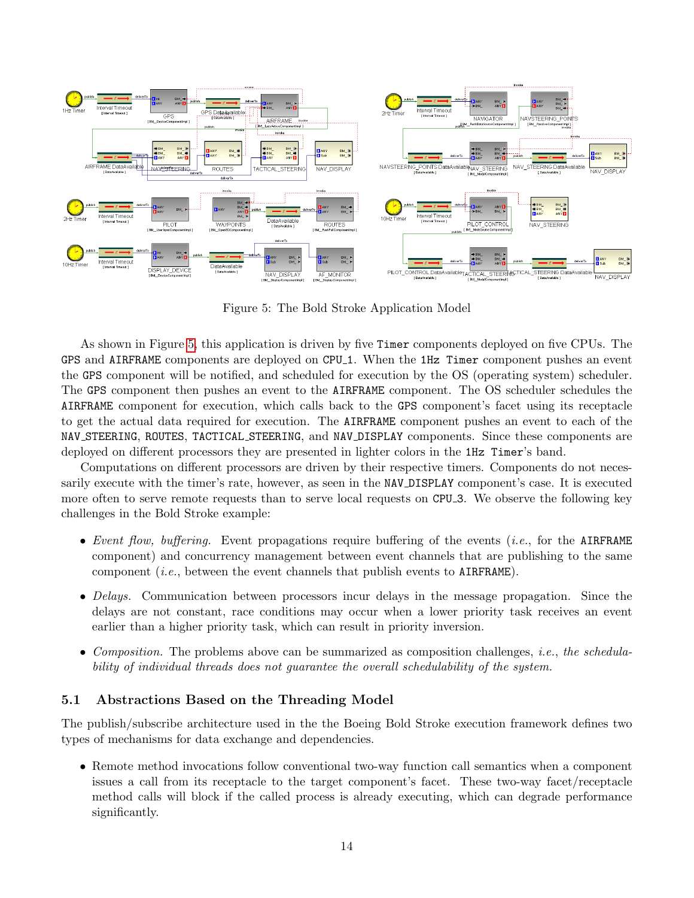

Figure 5: The Bold Stroke Application Model

<span id="page-13-0"></span>As shown in Figure [5,](#page-13-0) this application is driven by five Timer components deployed on five CPUs. The GPS and AIRFRAME components are deployed on CPU 1. When the 1Hz Timer component pushes an event the GPS component will be notified, and scheduled for execution by the OS (operating system) scheduler. The GPS component then pushes an event to the AIRFRAME component. The OS scheduler schedules the AIRFRAME component for execution, which calls back to the GPS component's facet using its receptacle to get the actual data required for execution. The AIRFRAME component pushes an event to each of the NAV STEERING, ROUTES, TACTICAL STEERING, and NAV DISPLAY components. Since these components are deployed on different processors they are presented in lighter colors in the 1Hz Timer's band.

Computations on different processors are driven by their respective timers. Components do not necessarily execute with the timer's rate, however, as seen in the NAV DISPLAY component's case. It is executed more often to serve remote requests than to serve local requests on CPU<sub>-3</sub>. We observe the following key challenges in the Bold Stroke example:

- Event flow, buffering. Event propagations require buffering of the events (*i.e.*, for the AIRFRAME component) and concurrency management between event channels that are publishing to the same component (i.e., between the event channels that publish events to AIRFRAME).
- Delays. Communication between processors incur delays in the message propagation. Since the delays are not constant, race conditions may occur when a lower priority task receives an event earlier than a higher priority task, which can result in priority inversion.
- Composition. The problems above can be summarized as composition challenges, *i.e.*, the schedulability of individual threads does not guarantee the overall schedulability of the system.

### 5.1 Abstractions Based on the Threading Model

The publish/subscribe architecture used in the the Boeing Bold Stroke execution framework defines two types of mechanisms for data exchange and dependencies.

• Remote method invocations follow conventional two-way function call semantics when a component issues a call from its receptacle to the target component's facet. These two-way facet/receptacle method calls will block if the called process is already executing, which can degrade performance significantly.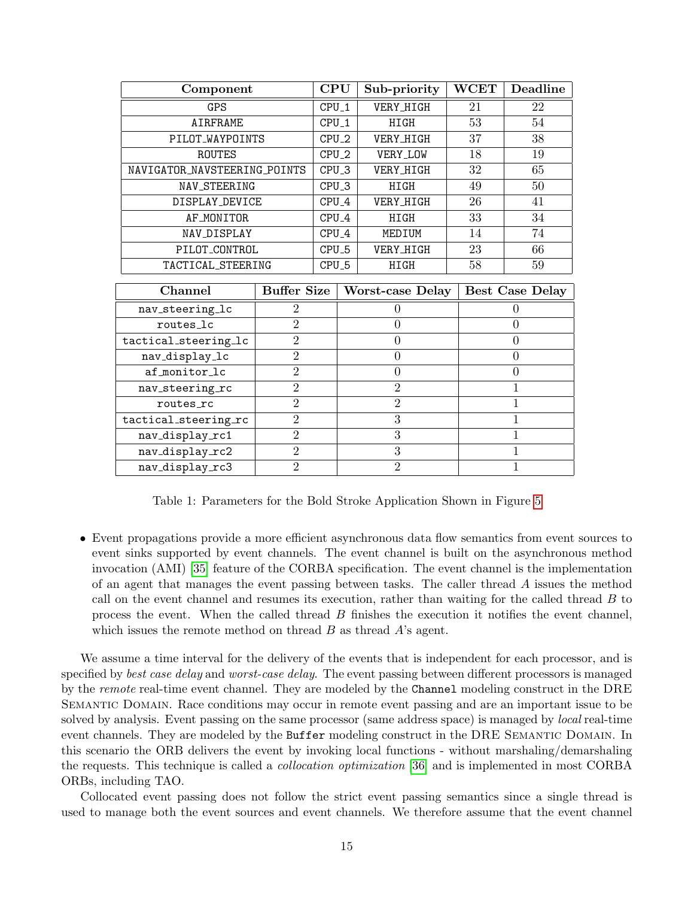| Component                          |                                  | <b>CPU</b>        |                         | Sub-priority                       | <b>WCET</b>            | Deadline       |
|------------------------------------|----------------------------------|-------------------|-------------------------|------------------------------------|------------------------|----------------|
| GPS                                |                                  | $CPU_1$           |                         | VERY_HIGH                          | 21                     | 22             |
| <b>AIRFRAME</b>                    |                                  | $CPU_1$           |                         | <b>HIGH</b>                        | 53                     | 54             |
| PILOT_WAYPOINTS                    |                                  | $CPU_2$           |                         | VERY_HIGH                          | 37                     | 38             |
| <b>ROUTES</b>                      |                                  | $CPU_2$           |                         | VERY_LOW                           | 18                     | 19             |
| NAVIGATOR_NAVSTEERING_POINTS       |                                  | CPU <sub>-3</sub> |                         | VERY_HIGH                          | 32                     | 65             |
| NAV_STEERING                       |                                  | CPU <sub>-3</sub> |                         | <b>HIGH</b>                        | 49                     | 50             |
| DISPLAY_DEVICE                     |                                  | $CPU_4$           |                         | <b>VERY_HIGH</b>                   | 26                     | 41             |
| AF_MONITOR                         |                                  | $CPU_4$           |                         | HIGH                               | 33                     | 34             |
| NAV_DISPLAY                        |                                  | $CPU_4$           |                         | MEDIUM                             | 14                     | 74             |
| PILOT_CONTROL                      |                                  | $CPU_5$           |                         | VERY_HIGH                          | 23                     | 66             |
| TACTICAL_STEERING                  |                                  | $CPU_5$           |                         | HIGH                               | 58                     | 59             |
| Channel                            | <b>Buffer Size</b>               |                   | <b>Worst-case Delay</b> |                                    | <b>Best Case Delay</b> |                |
|                                    |                                  |                   |                         |                                    |                        |                |
|                                    |                                  |                   |                         |                                    |                        |                |
| nav_steering_lc                    | $\overline{2}$                   |                   |                         | 0                                  |                        | $\Omega$       |
| routes_1c                          | $\overline{2}$                   |                   |                         | $\overline{0}$                     |                        | $\theta$       |
| tactical_steering_1c               | $\overline{2}$                   |                   |                         | $\boldsymbol{0}$                   |                        | $\theta$       |
| nav_display_lc                     | $\overline{2}$                   |                   |                         | $\overline{0}$                     |                        | $\overline{0}$ |
| af_monitor_lc                      | $\overline{2}$                   |                   |                         | $\boldsymbol{0}$                   |                        | $\overline{0}$ |
| nav_steering_rc                    | $\overline{2}$                   |                   |                         | $\overline{2}$                     |                        | $\mathbf{1}$   |
| routes_rc                          | $\overline{2}$                   |                   |                         | $\overline{2}$                     |                        | 1              |
| tactical_steering_rc               | $\overline{2}$                   |                   |                         | 3                                  |                        | 1              |
| nav_display_rc1                    | $\overline{2}$                   |                   |                         | 3                                  |                        | 1              |
| nav_display_rc2<br>nav_display_rc3 | $\overline{2}$<br>$\overline{2}$ |                   |                         | $\boldsymbol{3}$<br>$\overline{2}$ |                        | 1<br>1         |

Table 1: Parameters for the Bold Stroke Application Shown in Figure [5](#page-13-0)

• Event propagations provide a more efficient asynchronous data flow semantics from event sources to event sinks supported by event channels. The event channel is built on the asynchronous method invocation (AMI) [\[35\]](#page-21-4) feature of the CORBA specification. The event channel is the implementation of an agent that manages the event passing between tasks. The caller thread A issues the method call on the event channel and resumes its execution, rather than waiting for the called thread B to process the event. When the called thread  $B$  finishes the execution it notifies the event channel, which issues the remote method on thread  $B$  as thread  $A$ 's agent.

We assume a time interval for the delivery of the events that is independent for each processor, and is specified by best case delay and worst-case delay. The event passing between different processors is managed by the remote real-time event channel. They are modeled by the Channel modeling construct in the DRE Semantic Domain. Race conditions may occur in remote event passing and are an important issue to be solved by analysis. Event passing on the same processor (same address space) is managed by local real-time event channels. They are modeled by the Buffer modeling construct in the DRE SEMANTIC DOMAIN. In this scenario the ORB delivers the event by invoking local functions - without marshaling/demarshaling the requests. This technique is called a collocation optimization [\[36\]](#page-21-5) and is implemented in most CORBA ORBs, including TAO.

Collocated event passing does not follow the strict event passing semantics since a single thread is used to manage both the event sources and event channels. We therefore assume that the event channel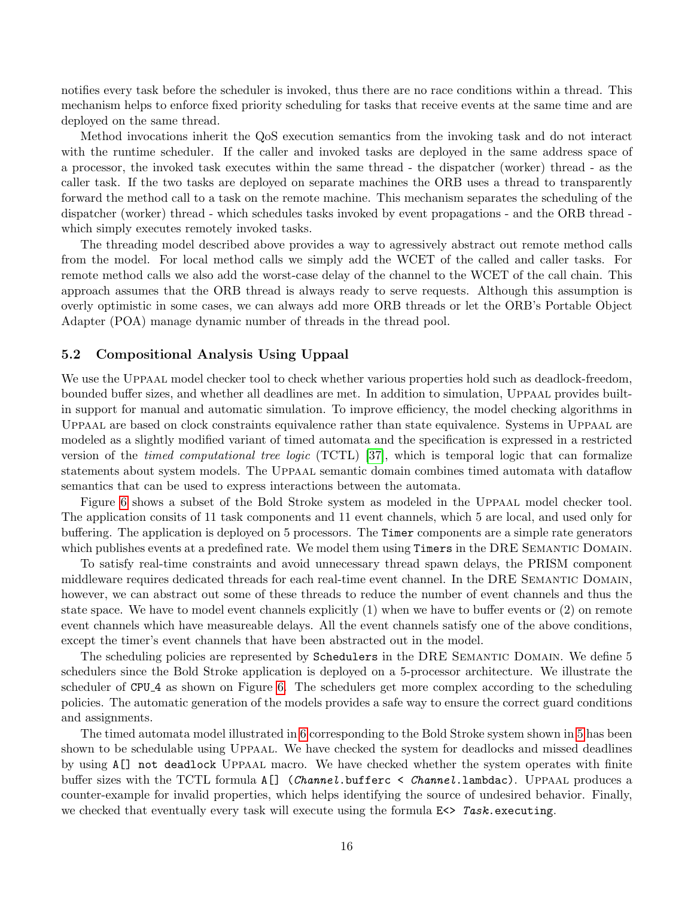notifies every task before the scheduler is invoked, thus there are no race conditions within a thread. This mechanism helps to enforce fixed priority scheduling for tasks that receive events at the same time and are deployed on the same thread.

Method invocations inherit the QoS execution semantics from the invoking task and do not interact with the runtime scheduler. If the caller and invoked tasks are deployed in the same address space of a processor, the invoked task executes within the same thread - the dispatcher (worker) thread - as the caller task. If the two tasks are deployed on separate machines the ORB uses a thread to transparently forward the method call to a task on the remote machine. This mechanism separates the scheduling of the dispatcher (worker) thread - which schedules tasks invoked by event propagations - and the ORB thread which simply executes remotely invoked tasks.

The threading model described above provides a way to agressively abstract out remote method calls from the model. For local method calls we simply add the WCET of the called and caller tasks. For remote method calls we also add the worst-case delay of the channel to the WCET of the call chain. This approach assumes that the ORB thread is always ready to serve requests. Although this assumption is overly optimistic in some cases, we can always add more ORB threads or let the ORB's Portable Object Adapter (POA) manage dynamic number of threads in the thread pool.

### 5.2 Compositional Analysis Using Uppaal

We use the UPPAAL model checker tool to check whether various properties hold such as deadlock-freedom, bounded buffer sizes, and whether all deadlines are met. In addition to simulation, Uppaal provides builtin support for manual and automatic simulation. To improve efficiency, the model checking algorithms in Uppaal are based on clock constraints equivalence rather than state equivalence. Systems in Uppaal are modeled as a slightly modified variant of timed automata and the specification is expressed in a restricted version of the timed computational tree logic (TCTL) [\[37\]](#page-21-6), which is temporal logic that can formalize statements about system models. The Uppaal semantic domain combines timed automata with dataflow semantics that can be used to express interactions between the automata.

Figure [6](#page-16-1) shows a subset of the Bold Stroke system as modeled in the UPPAAL model checker tool. The application consits of 11 task components and 11 event channels, which 5 are local, and used only for buffering. The application is deployed on 5 processors. The Timer components are a simple rate generators which publishes events at a predefined rate. We model them using Timers in the DRE SEMANTIC DOMAIN.

To satisfy real-time constraints and avoid unnecessary thread spawn delays, the PRISM component middleware requires dedicated threads for each real-time event channel. In the DRE SEMANTIC DOMAIN, however, we can abstract out some of these threads to reduce the number of event channels and thus the state space. We have to model event channels explicitly (1) when we have to buffer events or (2) on remote event channels which have measureable delays. All the event channels satisfy one of the above conditions, except the timer's event channels that have been abstracted out in the model.

The scheduling policies are represented by **Schedulers** in the DRE SEMANTIC DOMAIN. We define 5 schedulers since the Bold Stroke application is deployed on a 5-processor architecture. We illustrate the scheduler of CPU<sub>-4</sub> as shown on Figure [6.](#page-16-1) The schedulers get more complex according to the scheduling policies. The automatic generation of the models provides a safe way to ensure the correct guard conditions and assignments.

The timed automata model illustrated in [6](#page-16-1) corresponding to the Bold Stroke system shown in [5](#page-13-0) has been shown to be schedulable using Uppaal. We have checked the system for deadlocks and missed deadlines by using A[] not deadlock UPPAAL macro. We have checked whether the system operates with finite buffer sizes with the TCTL formula A[] (Channel.bufferc < Channel.lambdac). UPPAAL produces a counter-example for invalid properties, which helps identifying the source of undesired behavior. Finally, we checked that eventually every task will execute using the formula  $E \leq Task$ . executing.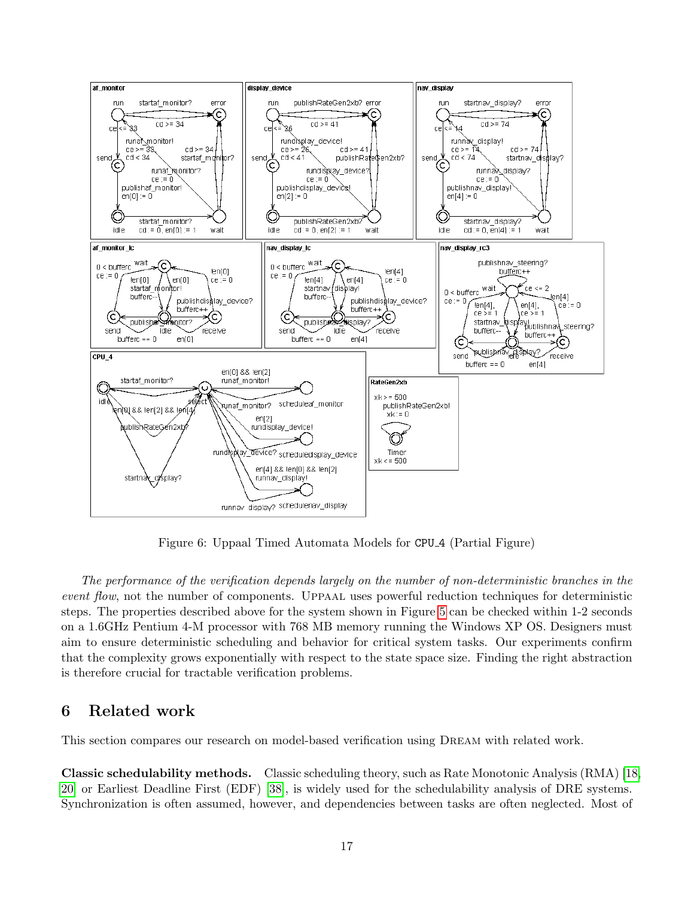

Figure 6: Uppaal Timed Automata Models for CPU 4 (Partial Figure)

<span id="page-16-1"></span>The performance of the verification depends largely on the number of non-deterministic branches in the event flow, not the number of components. UPPAAL uses powerful reduction techniques for deterministic steps. The properties described above for the system shown in Figure [5](#page-13-0) can be checked within 1-2 seconds on a 1.6GHz Pentium 4-M processor with 768 MB memory running the Windows XP OS. Designers must aim to ensure deterministic scheduling and behavior for critical system tasks. Our experiments confirm that the complexity grows exponentially with respect to the state space size. Finding the right abstraction is therefore crucial for tractable verification problems.

# <span id="page-16-0"></span>6 Related work

This section compares our research on model-based verification using Dream with related work.

Classic schedulability methods. Classic scheduling theory, such as Rate Monotonic Analysis (RMA) [\[18,](#page-20-4) [20\]](#page-20-6) or Earliest Deadline First (EDF) [\[38\]](#page-21-7), is widely used for the schedulability analysis of DRE systems. Synchronization is often assumed, however, and dependencies between tasks are often neglected. Most of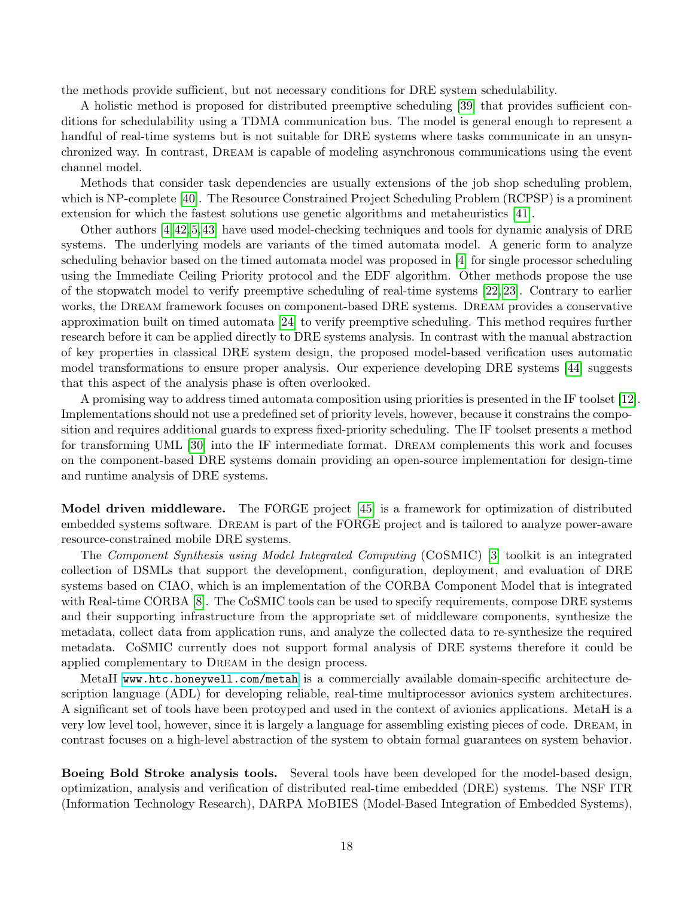the methods provide sufficient, but not necessary conditions for DRE system schedulability.

A holistic method is proposed for distributed preemptive scheduling [\[39\]](#page-21-8) that provides sufficient conditions for schedulability using a TDMA communication bus. The model is general enough to represent a handful of real-time systems but is not suitable for DRE systems where tasks communicate in an unsynchronized way. In contrast, Dream is capable of modeling asynchronous communications using the event channel model.

Methods that consider task dependencies are usually extensions of the job shop scheduling problem, which is NP-complete [\[40\]](#page-21-9). The Resource Constrained Project Scheduling Problem (RCPSP) is a prominent extension for which the fastest solutions use genetic algorithms and metaheuristics [\[41\]](#page-21-10).

Other authors [\[4,](#page-19-3) [42,](#page-21-11) [5,](#page-19-4) [43\]](#page-21-12) have used model-checking techniques and tools for dynamic analysis of DRE systems. The underlying models are variants of the timed automata model. A generic form to analyze scheduling behavior based on the timed automata model was proposed in [\[4\]](#page-19-3) for single processor scheduling using the Immediate Ceiling Priority protocol and the EDF algorithm. Other methods propose the use of the stopwatch model to verify preemptive scheduling of real-time systems [\[22,](#page-20-8) [23\]](#page-20-9). Contrary to earlier works, the DREAM framework focuses on component-based DRE systems. DREAM provides a conservative approximation built on timed automata [\[24\]](#page-20-10) to verify preemptive scheduling. This method requires further research before it can be applied directly to DRE systems analysis. In contrast with the manual abstraction of key properties in classical DRE system design, the proposed model-based verification uses automatic model transformations to ensure proper analysis. Our experience developing DRE systems [\[44\]](#page-21-13) suggests that this aspect of the analysis phase is often overlooked.

A promising way to address timed automata composition using priorities is presented in the IF toolset [\[12\]](#page-19-11). Implementations should not use a predefined set of priority levels, however, because it constrains the composition and requires additional guards to express fixed-priority scheduling. The IF toolset presents a method for transforming UML [\[30\]](#page-20-16) into the IF intermediate format. Dream complements this work and focuses on the component-based DRE systems domain providing an open-source implementation for design-time and runtime analysis of DRE systems.

Model driven middleware. The FORGE project [\[45\]](#page-21-14) is a framework for optimization of distributed embedded systems software. DREAM is part of the FORGE project and is tailored to analyze power-aware resource-constrained mobile DRE systems.

The Component Synthesis using Model Integrated Computing (CoSMIC) [\[3\]](#page-19-2) toolkit is an integrated collection of DSMLs that support the development, configuration, deployment, and evaluation of DRE systems based on CIAO, which is an implementation of the CORBA Component Model that is integrated with Real-time CORBA [\[8\]](#page-19-7). The CoSMIC tools can be used to specify requirements, compose DRE systems and their supporting infrastructure from the appropriate set of middleware components, synthesize the metadata, collect data from application runs, and analyze the collected data to re-synthesize the required metadata. CoSMIC currently does not support formal analysis of DRE systems therefore it could be applied complementary to Dream in the design process.

MetaH <www.htc.honeywell.com/metah> is a commercially available domain-specific architecture description language (ADL) for developing reliable, real-time multiprocessor avionics system architectures. A significant set of tools have been protoyped and used in the context of avionics applications. MetaH is a very low level tool, however, since it is largely a language for assembling existing pieces of code. Dream, in contrast focuses on a high-level abstraction of the system to obtain formal guarantees on system behavior.

Boeing Bold Stroke analysis tools. Several tools have been developed for the model-based design, optimization, analysis and verification of distributed real-time embedded (DRE) systems. The NSF ITR (Information Technology Research), DARPA MoBIES (Model-Based Integration of Embedded Systems),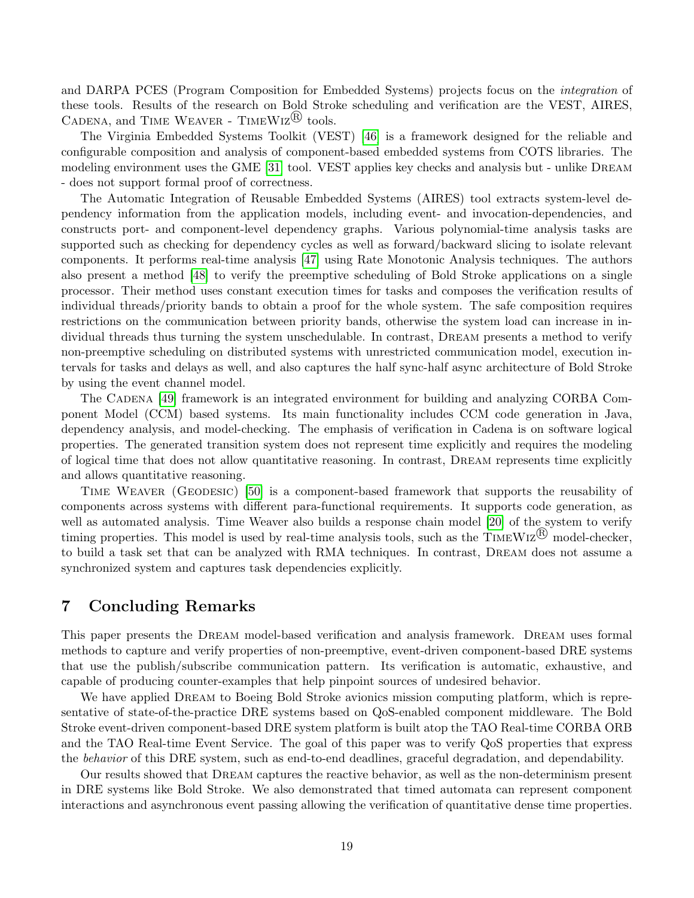and DARPA PCES (Program Composition for Embedded Systems) projects focus on the integration of these tools. Results of the research on Bold Stroke scheduling and verification are the VEST, AIRES, CADENA, and TIME WEAVER - TIMEWIZ<sup>(R)</sup> tools.

The Virginia Embedded Systems Toolkit (VEST) [\[46\]](#page-21-15) is a framework designed for the reliable and configurable composition and analysis of component-based embedded systems from COTS libraries. The modeling environment uses the GME [\[31\]](#page-21-0) tool. VEST applies key checks and analysis but - unlike DREAM - does not support formal proof of correctness.

The Automatic Integration of Reusable Embedded Systems (AIRES) tool extracts system-level dependency information from the application models, including event- and invocation-dependencies, and constructs port- and component-level dependency graphs. Various polynomial-time analysis tasks are supported such as checking for dependency cycles as well as forward/backward slicing to isolate relevant components. It performs real-time analysis [\[47\]](#page-22-0) using Rate Monotonic Analysis techniques. The authors also present a method [\[48\]](#page-22-1) to verify the preemptive scheduling of Bold Stroke applications on a single processor. Their method uses constant execution times for tasks and composes the verification results of individual threads/priority bands to obtain a proof for the whole system. The safe composition requires restrictions on the communication between priority bands, otherwise the system load can increase in individual threads thus turning the system unschedulable. In contrast, Dream presents a method to verify non-preemptive scheduling on distributed systems with unrestricted communication model, execution intervals for tasks and delays as well, and also captures the half sync-half async architecture of Bold Stroke by using the event channel model.

The CADENA [\[49\]](#page-22-2) framework is an integrated environment for building and analyzing CORBA Component Model (CCM) based systems. Its main functionality includes CCM code generation in Java, dependency analysis, and model-checking. The emphasis of verification in Cadena is on software logical properties. The generated transition system does not represent time explicitly and requires the modeling of logical time that does not allow quantitative reasoning. In contrast, Dream represents time explicitly and allows quantitative reasoning.

TIME WEAVER (GEODESIC) [\[50\]](#page-22-3) is a component-based framework that supports the reusability of components across systems with different para-functional requirements. It supports code generation, as well as automated analysis. Time Weaver also builds a response chain model [\[20\]](#page-20-6) of the system to verify timing properties. This model is used by real-time analysis tools, such as the  $\text{TIMEWIZ}^{\textcircled{R}}$  model-checker, to build a task set that can be analyzed with RMA techniques. In contrast, Dream does not assume a synchronized system and captures task dependencies explicitly.

## <span id="page-18-0"></span>7 Concluding Remarks

This paper presents the DREAM model-based verification and analysis framework. DREAM uses formal methods to capture and verify properties of non-preemptive, event-driven component-based DRE systems that use the publish/subscribe communication pattern. Its verification is automatic, exhaustive, and capable of producing counter-examples that help pinpoint sources of undesired behavior.

We have applied DREAM to Boeing Bold Stroke avionics mission computing platform, which is representative of state-of-the-practice DRE systems based on QoS-enabled component middleware. The Bold Stroke event-driven component-based DRE system platform is built atop the TAO Real-time CORBA ORB and the TAO Real-time Event Service. The goal of this paper was to verify QoS properties that express the behavior of this DRE system, such as end-to-end deadlines, graceful degradation, and dependability.

Our results showed that Dream captures the reactive behavior, as well as the non-determinism present in DRE systems like Bold Stroke. We also demonstrated that timed automata can represent component interactions and asynchronous event passing allowing the verification of quantitative dense time properties.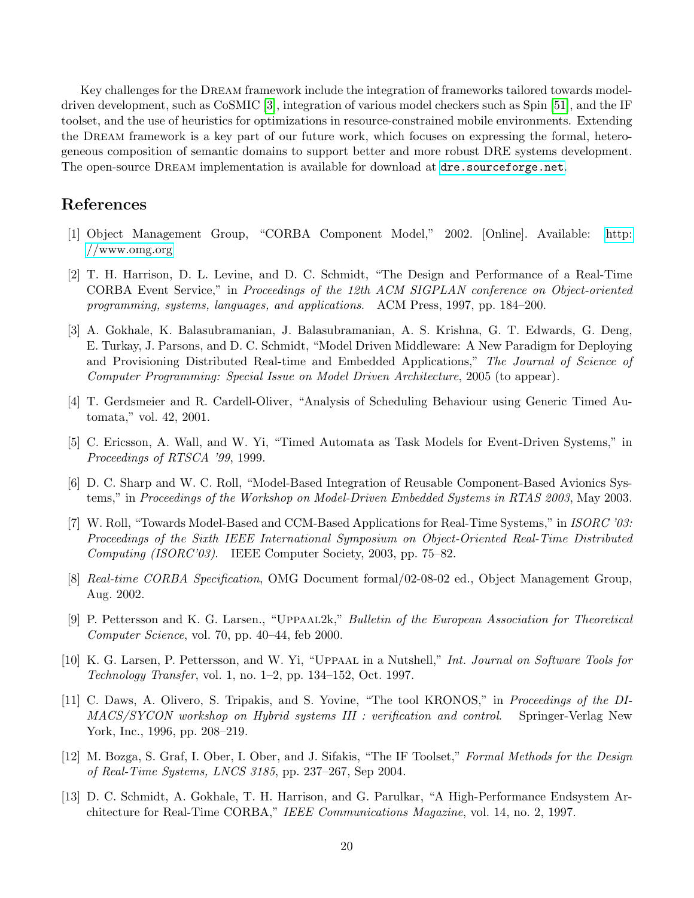Key challenges for the DREAM framework include the integration of frameworks tailored towards modeldriven development, such as CoSMIC [\[3\]](#page-19-2), integration of various model checkers such as Spin [\[51\]](#page-22-4), and the IF toolset, and the use of heuristics for optimizations in resource-constrained mobile environments. Extending the Dream framework is a key part of our future work, which focuses on expressing the formal, heterogeneous composition of semantic domains to support better and more robust DRE systems development. The open-source DREAM implementation is available for download at <dre.sourceforge.net>.

### References

- <span id="page-19-0"></span>[1] Object Management Group, "CORBA Component Model," 2002. [Online]. Available: [http:](http://www.omg.org) [//www.omg.org](http://www.omg.org)
- <span id="page-19-1"></span>[2] T. H. Harrison, D. L. Levine, and D. C. Schmidt, "The Design and Performance of a Real-Time CORBA Event Service," in Proceedings of the 12th ACM SIGPLAN conference on Object-oriented programming, systems, languages, and applications. ACM Press, 1997, pp. 184–200.
- <span id="page-19-2"></span>[3] A. Gokhale, K. Balasubramanian, J. Balasubramanian, A. S. Krishna, G. T. Edwards, G. Deng, E. Turkay, J. Parsons, and D. C. Schmidt, "Model Driven Middleware: A New Paradigm for Deploying and Provisioning Distributed Real-time and Embedded Applications," The Journal of Science of Computer Programming: Special Issue on Model Driven Architecture, 2005 (to appear).
- <span id="page-19-3"></span>[4] T. Gerdsmeier and R. Cardell-Oliver, "Analysis of Scheduling Behaviour using Generic Timed Automata," vol. 42, 2001.
- <span id="page-19-4"></span>[5] C. Ericsson, A. Wall, and W. Yi, "Timed Automata as Task Models for Event-Driven Systems," in Proceedings of RTSCA '99, 1999.
- <span id="page-19-5"></span>[6] D. C. Sharp and W. C. Roll, "Model-Based Integration of Reusable Component-Based Avionics Systems," in Proceedings of the Workshop on Model-Driven Embedded Systems in RTAS 2003, May 2003.
- <span id="page-19-6"></span>[7] W. Roll, "Towards Model-Based and CCM-Based Applications for Real-Time Systems," in ISORC '03: Proceedings of the Sixth IEEE International Symposium on Object-Oriented Real-Time Distributed Computing (ISORC'03). IEEE Computer Society, 2003, pp. 75–82.
- <span id="page-19-7"></span>[8] Real-time CORBA Specification, OMG Document formal/02-08-02 ed., Object Management Group, Aug. 2002.
- <span id="page-19-8"></span>[9] P. Pettersson and K. G. Larsen., "Uppaal2k," Bulletin of the European Association for Theoretical Computer Science, vol. 70, pp. 40–44, feb 2000.
- <span id="page-19-9"></span>[10] K. G. Larsen, P. Pettersson, and W. Yi, "Uppaal in a Nutshell," Int. Journal on Software Tools for Technology Transfer, vol. 1, no. 1–2, pp. 134–152, Oct. 1997.
- <span id="page-19-10"></span>[11] C. Daws, A. Olivero, S. Tripakis, and S. Yovine, "The tool KRONOS," in Proceedings of the DI-MACS/SYCON workshop on Hybrid systems III : verification and control. Springer-Verlag New York, Inc., 1996, pp. 208–219.
- <span id="page-19-11"></span>[12] M. Bozga, S. Graf, I. Ober, I. Ober, and J. Sifakis, "The IF Toolset," Formal Methods for the Design of Real-Time Systems, LNCS 3185, pp. 237–267, Sep 2004.
- <span id="page-19-12"></span>[13] D. C. Schmidt, A. Gokhale, T. H. Harrison, and G. Parulkar, "A High-Performance Endsystem Architecture for Real-Time CORBA," IEEE Communications Magazine, vol. 14, no. 2, 1997.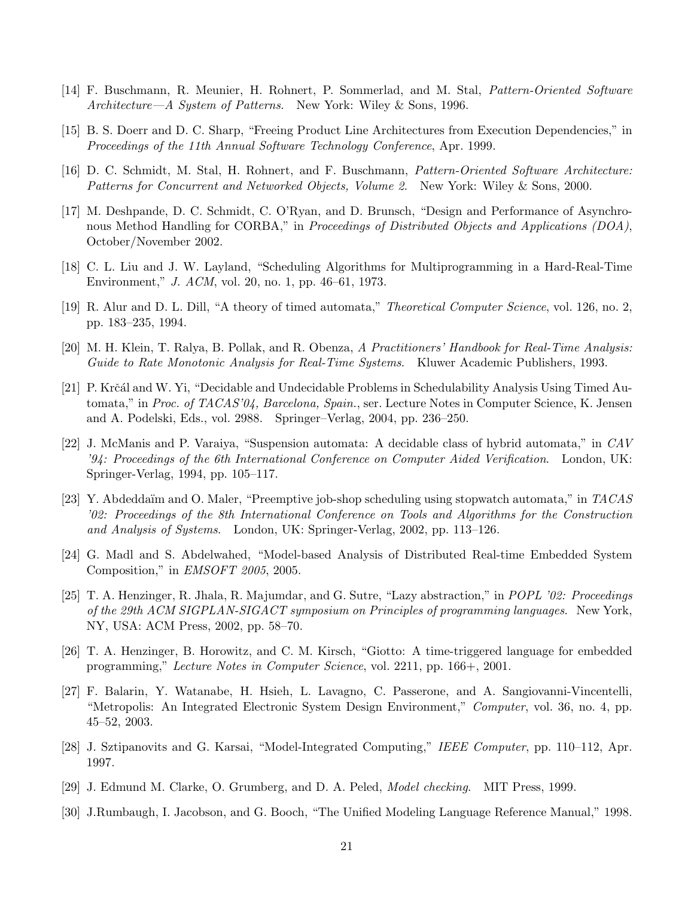- <span id="page-20-0"></span>[14] F. Buschmann, R. Meunier, H. Rohnert, P. Sommerlad, and M. Stal, Pattern-Oriented Software Architecture—A System of Patterns. New York: Wiley & Sons, 1996.
- <span id="page-20-1"></span>[15] B. S. Doerr and D. C. Sharp, "Freeing Product Line Architectures from Execution Dependencies," in Proceedings of the 11th Annual Software Technology Conference, Apr. 1999.
- <span id="page-20-2"></span>[16] D. C. Schmidt, M. Stal, H. Rohnert, and F. Buschmann, Pattern-Oriented Software Architecture: Patterns for Concurrent and Networked Objects, Volume 2. New York: Wiley & Sons, 2000.
- <span id="page-20-3"></span>[17] M. Deshpande, D. C. Schmidt, C. O'Ryan, and D. Brunsch, "Design and Performance of Asynchronous Method Handling for CORBA," in Proceedings of Distributed Objects and Applications (DOA), October/November 2002.
- <span id="page-20-4"></span>[18] C. L. Liu and J. W. Layland, "Scheduling Algorithms for Multiprogramming in a Hard-Real-Time Environment," J. ACM, vol. 20, no. 1, pp. 46–61, 1973.
- <span id="page-20-5"></span>[19] R. Alur and D. L. Dill, "A theory of timed automata," Theoretical Computer Science, vol. 126, no. 2, pp. 183–235, 1994.
- <span id="page-20-6"></span>[20] M. H. Klein, T. Ralya, B. Pollak, and R. Obenza, A Practitioners' Handbook for Real-Time Analysis: Guide to Rate Monotonic Analysis for Real-Time Systems. Kluwer Academic Publishers, 1993.
- <span id="page-20-7"></span>[21] P. Krčál and W. Yi, "Decidable and Undecidable Problems in Schedulability Analysis Using Timed Automata," in Proc. of TACAS'04, Barcelona, Spain., ser. Lecture Notes in Computer Science, K. Jensen and A. Podelski, Eds., vol. 2988. Springer–Verlag, 2004, pp. 236–250.
- <span id="page-20-8"></span>[22] J. McManis and P. Varaiya, "Suspension automata: A decidable class of hybrid automata," in CAV '94: Proceedings of the 6th International Conference on Computer Aided Verification. London, UK: Springer-Verlag, 1994, pp. 105–117.
- <span id="page-20-9"></span>[23] Y. Abdedda im and O. Maler, "Preemptive job-shop scheduling using stopwatch automata," in TACAS '02: Proceedings of the 8th International Conference on Tools and Algorithms for the Construction and Analysis of Systems. London, UK: Springer-Verlag, 2002, pp. 113–126.
- <span id="page-20-10"></span>[24] G. Madl and S. Abdelwahed, "Model-based Analysis of Distributed Real-time Embedded System Composition," in EMSOFT 2005, 2005.
- <span id="page-20-11"></span>[25] T. A. Henzinger, R. Jhala, R. Majumdar, and G. Sutre, "Lazy abstraction," in POPL '02: Proceedings of the 29th ACM SIGPLAN-SIGACT symposium on Principles of programming languages. New York, NY, USA: ACM Press, 2002, pp. 58–70.
- <span id="page-20-12"></span>[26] T. A. Henzinger, B. Horowitz, and C. M. Kirsch, "Giotto: A time-triggered language for embedded programming," Lecture Notes in Computer Science, vol. 2211, pp. 166+, 2001.
- <span id="page-20-13"></span>[27] F. Balarin, Y. Watanabe, H. Hsieh, L. Lavagno, C. Passerone, and A. Sangiovanni-Vincentelli, "Metropolis: An Integrated Electronic System Design Environment," Computer, vol. 36, no. 4, pp. 45–52, 2003.
- <span id="page-20-14"></span>[28] J. Sztipanovits and G. Karsai, "Model-Integrated Computing," IEEE Computer, pp. 110–112, Apr. 1997.
- <span id="page-20-15"></span>[29] J. Edmund M. Clarke, O. Grumberg, and D. A. Peled, *Model checking*. MIT Press, 1999.
- <span id="page-20-16"></span>[30] J.Rumbaugh, I. Jacobson, and G. Booch, "The Unified Modeling Language Reference Manual," 1998.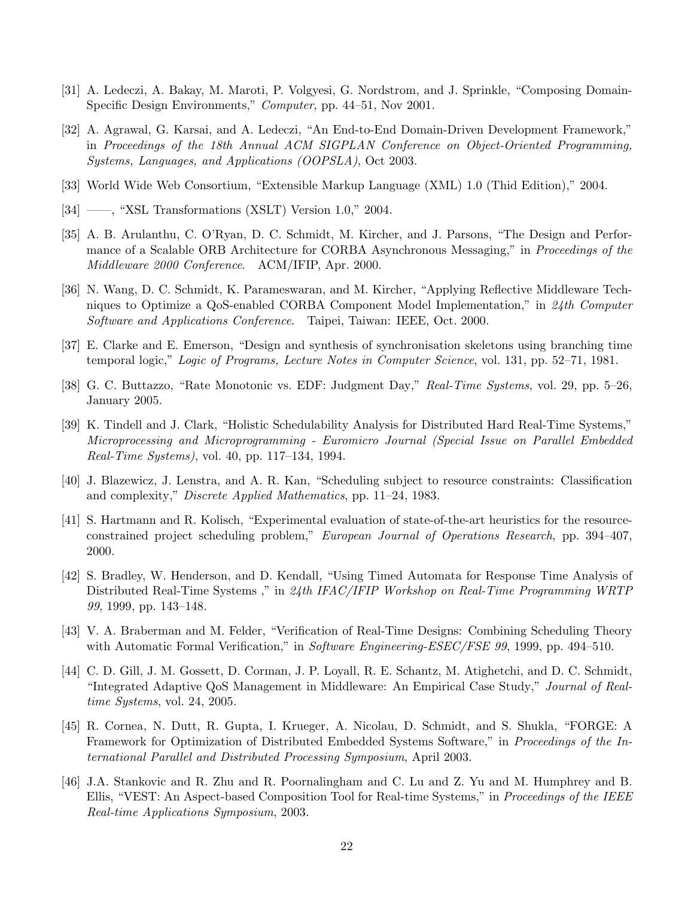- <span id="page-21-0"></span>[31] A. Ledeczi, A. Bakay, M. Maroti, P. Volgyesi, G. Nordstrom, and J. Sprinkle, "Composing Domain-Specific Design Environments," Computer, pp. 44–51, Nov 2001.
- <span id="page-21-1"></span>[32] A. Agrawal, G. Karsai, and A. Ledeczi, "An End-to-End Domain-Driven Development Framework," in Proceedings of the 18th Annual ACM SIGPLAN Conference on Object-Oriented Programming, Systems, Languages, and Applications (OOPSLA), Oct 2003.
- <span id="page-21-2"></span>[33] World Wide Web Consortium, "Extensible Markup Language (XML) 1.0 (Thid Edition)," 2004.
- <span id="page-21-3"></span>[34] ——, "XSL Transformations (XSLT) Version 1.0," 2004.
- <span id="page-21-4"></span>[35] A. B. Arulanthu, C. O'Ryan, D. C. Schmidt, M. Kircher, and J. Parsons, "The Design and Performance of a Scalable ORB Architecture for CORBA Asynchronous Messaging," in *Proceedings of the* Middleware 2000 Conference. ACM/IFIP, Apr. 2000.
- <span id="page-21-5"></span>[36] N. Wang, D. C. Schmidt, K. Parameswaran, and M. Kircher, "Applying Reflective Middleware Techniques to Optimize a QoS-enabled CORBA Component Model Implementation," in 24th Computer Software and Applications Conference. Taipei, Taiwan: IEEE, Oct. 2000.
- <span id="page-21-6"></span>[37] E. Clarke and E. Emerson, "Design and synthesis of synchronisation skeletons using branching time temporal logic," Logic of Programs, Lecture Notes in Computer Science, vol. 131, pp. 52–71, 1981.
- <span id="page-21-7"></span>[38] G. C. Buttazzo, "Rate Monotonic vs. EDF: Judgment Day," Real-Time Systems, vol. 29, pp. 5–26, January 2005.
- <span id="page-21-8"></span>[39] K. Tindell and J. Clark, "Holistic Schedulability Analysis for Distributed Hard Real-Time Systems," Microprocessing and Microprogramming - Euromicro Journal (Special Issue on Parallel Embedded Real-Time Systems), vol. 40, pp. 117–134, 1994.
- <span id="page-21-9"></span>[40] J. Blazewicz, J. Lenstra, and A. R. Kan, "Scheduling subject to resource constraints: Classification and complexity," Discrete Applied Mathematics, pp. 11–24, 1983.
- <span id="page-21-10"></span>[41] S. Hartmann and R. Kolisch, "Experimental evaluation of state-of-the-art heuristics for the resourceconstrained project scheduling problem," European Journal of Operations Research, pp. 394–407, 2000.
- <span id="page-21-11"></span>[42] S. Bradley, W. Henderson, and D. Kendall, "Using Timed Automata for Response Time Analysis of Distributed Real-Time Systems ," in 24th IFAC/IFIP Workshop on Real-Time Programming WRTP 99, 1999, pp. 143–148.
- <span id="page-21-12"></span>[43] V. A. Braberman and M. Felder, "Verification of Real-Time Designs: Combining Scheduling Theory with Automatic Formal Verification," in *Software Engineering-ESEC/FSE 99*, 1999, pp. 494–510.
- <span id="page-21-13"></span>[44] C. D. Gill, J. M. Gossett, D. Corman, J. P. Loyall, R. E. Schantz, M. Atighetchi, and D. C. Schmidt, "Integrated Adaptive QoS Management in Middleware: An Empirical Case Study," Journal of Realtime Systems, vol. 24, 2005.
- <span id="page-21-14"></span>[45] R. Cornea, N. Dutt, R. Gupta, I. Krueger, A. Nicolau, D. Schmidt, and S. Shukla, "FORGE: A Framework for Optimization of Distributed Embedded Systems Software," in Proceedings of the International Parallel and Distributed Processing Symposium, April 2003.
- <span id="page-21-15"></span>[46] J.A. Stankovic and R. Zhu and R. Poornalingham and C. Lu and Z. Yu and M. Humphrey and B. Ellis, "VEST: An Aspect-based Composition Tool for Real-time Systems," in Proceedings of the IEEE Real-time Applications Symposium, 2003.